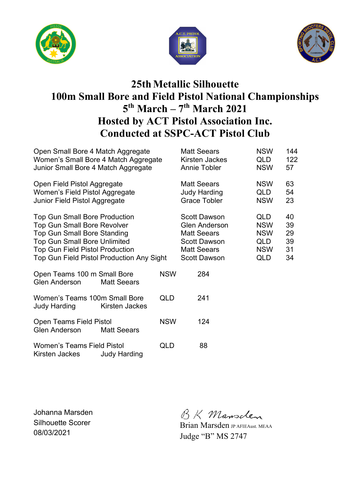





### **25th Metallic Silhouette 100m Small Bore and Field Pistol National Championships 5 th March – 7th March 2021 Hosted by ACT Pistol Association Inc. Conducted at SSPC-ACT Pistol Club**

| Open Small Bore 4 Match Aggregate<br>Women's Small Bore 4 Match Aggregate<br>Junior Small Bore 4 Match Aggregate                                                                                                                               |                     |            | <b>Matt Seears</b><br><b>Annie Tobler</b>                                                | Kirsten Jackes       | <b>NSW</b><br>QLD<br><b>NSW</b>                                           | 144<br>122<br>57                 |
|------------------------------------------------------------------------------------------------------------------------------------------------------------------------------------------------------------------------------------------------|---------------------|------------|------------------------------------------------------------------------------------------|----------------------|---------------------------------------------------------------------------|----------------------------------|
| Open Field Pistol Aggregate<br>Women's Field Pistol Aggregate<br>Junior Field Pistol Aggregate                                                                                                                                                 |                     |            | <b>Matt Seears</b><br><b>Judy Harding</b><br><b>Grace Tobler</b>                         |                      | <b>NSW</b><br>QLD<br><b>NSW</b>                                           | 63<br>54<br>23                   |
| <b>Top Gun Small Bore Production</b><br><b>Top Gun Small Bore Revolver</b><br><b>Top Gun Small Bore Standing</b><br><b>Top Gun Small Bore Unlimited</b><br><b>Top Gun Field Pistol Production</b><br>Top Gun Field Pistol Production Any Sight |                     |            | Scott Dawson<br><b>Matt Seears</b><br>Scott Dawson<br><b>Matt Seears</b><br>Scott Dawson | <b>Glen Anderson</b> | <b>QLD</b><br><b>NSW</b><br><b>NSW</b><br>QLD<br><b>NSW</b><br><b>QLD</b> | 40<br>39<br>29<br>39<br>31<br>34 |
| Open Teams 100 m Small Bore<br><b>Glen Anderson</b>                                                                                                                                                                                            | <b>Matt Seears</b>  | <b>NSW</b> |                                                                                          | 284                  |                                                                           |                                  |
| Women's Teams 100m Small Bore<br>Judy Harding                                                                                                                                                                                                  | Kirsten Jackes      | QLD        |                                                                                          | 241                  |                                                                           |                                  |
| Open Teams Field Pistol<br><b>Glen Anderson</b>                                                                                                                                                                                                | <b>Matt Seears</b>  | <b>NSW</b> |                                                                                          | 124                  |                                                                           |                                  |
| <b>Women's Teams Field Pistol</b><br>Kirsten Jackes                                                                                                                                                                                            | <b>Judy Harding</b> | QLD        |                                                                                          | 88                   |                                                                           |                                  |

Johanna Marsden Silhouette Scorer 08/03/2021

BK Mansclen

Brian Marsden JP AFIEAust. MEAA Judge "B" MS 2747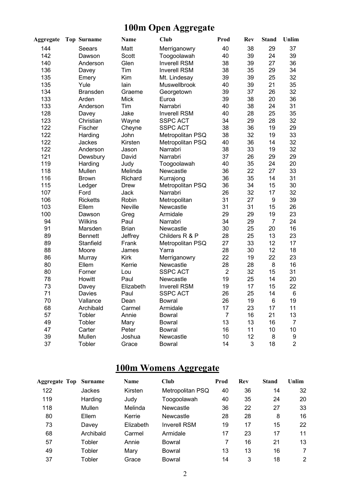## **100m Open Aggregate**

| <b>Aggregate</b> | <b>Top Surname</b> | <b>Name</b>  | <b>Club</b>         | Prod           | Rev | <b>Stand</b>   | Unlim          |
|------------------|--------------------|--------------|---------------------|----------------|-----|----------------|----------------|
| 144              | Seears             | Matt         | Merriganowry        | 40             | 38  | 29             | 37             |
| 142              | Dawson             | Scott        | Toogoolawah         | 40             | 39  | 24             | 39             |
| 140              | Anderson           | Glen         | <b>Inverell RSM</b> | 38             | 39  | 27             | 36             |
| 136              | Davey              | Tim          | <b>Inverell RSM</b> | 38             | 35  | 29             | 34             |
| 135              | Emery              | Kim          | Mt. Lindesay        | 39             | 39  | 25             | 32             |
| 135              | Yule               | lain         | Muswellbrook        | 40             | 39  | 21             | 35             |
| 134              | <b>Bransden</b>    | Graeme       | Georgetown          | 39             | 37  | 26             | 32             |
| 133              | Arden              | <b>Mick</b>  | Euroa               | 39             | 38  | 20             | 36             |
| 133              | Anderson           | Tim          | Narrabri            | 40             | 38  | 24             | 31             |
| 128              | Davey              | Jake         | <b>Inverell RSM</b> | 40             | 28  | 25             | 35             |
| 123              | Christian          | Wayne        | <b>SSPC ACT</b>     | 34             | 29  | 28             | 32             |
| 122              | Fischer            | Cheyne       | <b>SSPC ACT</b>     | 38             | 36  | 19             | 29             |
| 122              | Harding            | John         | Metropolitan PSQ    | 38             | 32  | 19             | 33             |
| 122              | Jackes             | Kirsten      | Metropolitan PSQ    | 40             | 36  | 14             | 32             |
| 122              | Anderson           | Jason        | Narrabri            | 38             | 33  | 19             | 32             |
| 121              | Dewsbury           | David        | Narrabri            | 37             | 26  | 29             | 29             |
| 119              | Harding            | Judy         | Toogoolawah         | 40             | 35  | 24             | 20             |
| 118              | Mullen             | Melinda      | Newcastle           | 36             | 22  | 27             | 33             |
| 116              | <b>Brown</b>       | Richard      | Kurrajong           | 36             | 35  | 14             | 31             |
| 115              | Ledger             | <b>Drew</b>  | Metropolitan PSQ    | 36             | 34  | 15             | 30             |
| 107              | Ford               | <b>Jack</b>  | Narrabri            | 26             | 32  | 17             | 32             |
| 106              | <b>Ricketts</b>    | Robin        | Metropolitan        | 31             | 27  | 9              | 39             |
| 103              | Ellem              | Neville      | Newcastle           | 31             | 31  | 15             | 26             |
| 100              | Dawson             | Greg         | Armidale            | 29             | 29  | 19             | 23             |
| 94               | Wilkins            | Paul         | Narrabri            | 34             | 29  | $\overline{7}$ | 24             |
| 91               | Marsden            | <b>Brian</b> | Newcastle           | 30             | 25  | 20             | 16             |
| 89               | <b>Bennett</b>     | Jeffrey      | Childers R & P      | 28             | 25  | 13             | 23             |
| 89               | Stanfield          | Frank        | Metropolitan PSQ    | 27             | 33  | 12             | 17             |
| 88               | Moore              | James        | Yarra               | 28             | 30  | 12             | 18             |
| 86               | Murray             | <b>Kirk</b>  | Merriganowry        | 22             | 19  | 22             | 23             |
| 80               | Ellem              | Kerrie       | Newcastle           | 28             | 28  | 8              | 16             |
| 80               | Forner             | Lou          | <b>SSPC ACT</b>     | $\overline{2}$ | 32  | 15             | 31             |
| 78               | Howitt             | Paul         | Newcastle           | 19             | 25  | 14             | 20             |
| 73               | Davey              | Elizabeth    | <b>Inverell RSM</b> | 19             | 17  | 15             | 22             |
| 71               | Davies             | Paul         | <b>SSPC ACT</b>     | 26             | 25  | 14             | 6              |
| 70               | Vallance           | Dean         | <b>Bowral</b>       | 26             | 19  | 6              | 19             |
| 68               | Archibald          | Carmel       | Armidale            | 17             | 23  | 17             | 11             |
| 57               | Tobler             | Annie        | <b>Bowral</b>       | $\overline{7}$ | 16  | 21             | 13             |
| 49               | Tobler             | Mary         | <b>Bowral</b>       | 13             | 13  | 16             | 7              |
| 47               | Carter             | Peter        | <b>Bowral</b>       | 16             | 11  | 10             | 10             |
| 39               | Mullen             | Joshua       | Newcastle           | 10             | 12  | 8              | 9              |
| 37               | Tobler             | Grace        | <b>Bowral</b>       | 14             | 3   | 18             | $\overline{2}$ |

### **100m Womens Aggregate**

| <b>Aggregate Top</b> | <b>Surname</b> | Name      | Club                | Prod | <b>Rev</b> | <b>Stand</b> | Unlim |
|----------------------|----------------|-----------|---------------------|------|------------|--------------|-------|
| 122                  | Jackes         | Kirsten   | Metropolitan PSQ    | 40   | 36         | 14           | 32    |
| 119                  | Harding        | Judy      | Toogoolawah         | 40   | 35         | 24           | 20    |
| 118                  | Mullen         | Melinda   | Newcastle           | 36   | 22         | 27           | 33    |
| 80                   | Ellem          | Kerrie    | <b>Newcastle</b>    | 28   | 28         | 8            | 16    |
| 73                   | Davey          | Elizabeth | <b>Inverell RSM</b> | 19   | 17         | 15           | 22    |
| 68                   | Archibald      | Carmel    | Armidale            | 17   | 23         | 17           | 11    |
| 57                   | Tobler         | Annie     | Bowral              | 7    | 16         | 21           | 13    |
| 49                   | Tobler         | Mary      | Bowral              | 13   | 13         | 16           |       |
| 37                   | Tobler         | Grace     | Bowral              | 14   | 3          | 18           | 2     |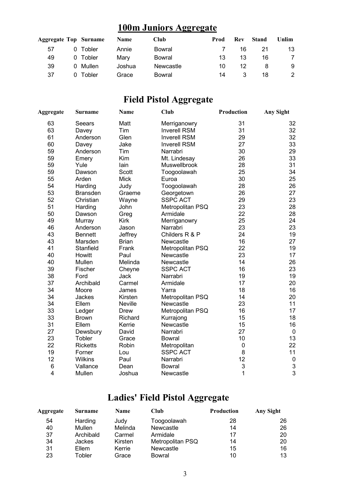### **100m Juniors Aggregate**

| <b>Aggregate Top Surname</b> |          | <b>Name</b> | Club      | Prod | <b>Rev</b> | <b>Stand</b> | Unlim |
|------------------------------|----------|-------------|-----------|------|------------|--------------|-------|
| 57                           | 0 Tobler | Annie       | Bowral    |      | 16         | 21           | 13    |
| 49                           | 0 Tobler | Marv        | Bowral    | 13   | 13         | 16           |       |
| 39                           | 0 Mullen | Joshua      | Newcastle | 10   | 12         |              | 9     |
| 37                           | 0 Tobler | Grace       | Bowral    | 14   | 3          | 18           | 2     |

### **Field Pistol Aggregate**

| Aggregate      | Surname         | Name         | <b>Club</b>         | Production | <b>Any Sight</b> |
|----------------|-----------------|--------------|---------------------|------------|------------------|
| 63             | Seears          | Matt         | Merriganowry        | 31         | 32               |
| 63             | Davey           | Tim          | <b>Inverell RSM</b> | 31         | 32               |
| 61             | Anderson        | Glen         | <b>Inverell RSM</b> | 29         | 32               |
| 60             | Davey           | Jake         | <b>Inverell RSM</b> | 27         | 33               |
| 59             | Anderson        | Tim          | Narrabri            | 30         | 29               |
| 59             | Emery           | Kim          | Mt. Lindesay        | 26         | 33               |
| 59             | Yule            | lain         | Muswellbrook        | 28         | 31               |
| 59             | Dawson          | Scott        | Toogoolawah         | 25         | 34               |
| 55             | Arden           | <b>Mick</b>  | Euroa               | 30         | 25               |
| 54             | Harding         | Judy         | Toogoolawah         | 28         | 26               |
| 53             | <b>Bransden</b> | Graeme       | Georgetown          | 26         | 27               |
| 52             | Christian       | Wayne        | <b>SSPC ACT</b>     | 29         | 23               |
| 51             | Harding         | John         | Metropolitan PSQ    | 23         | 28               |
| 50             | Dawson          | Greg         | Armidale            | 22         | 28               |
| 49             | Murray          | <b>Kirk</b>  | Merriganowry        | 25         | 24               |
| 46             | Anderson        | Jason        | Narrabri            | 23         | 23               |
| 43             | <b>Bennett</b>  | Jeffrey      | Childers R & P      | 24         | 19               |
| 43             | Marsden         | <b>Brian</b> | Newcastle           | 16         | 27               |
| 41             | Stanfield       | Frank        | Metropolitan PSQ    | 22         | 19               |
| 40             | Howitt          | Paul         | Newcastle           | 23         | 17               |
| 40             | Mullen          | Melinda      | Newcastle           | 14         | 26               |
| 39             | Fischer         | Cheyne       | <b>SSPC ACT</b>     | 16         | 23               |
| 38             | Ford            | Jack         | Narrabri            | 19         | 19               |
| 37             | Archibald       | Carmel       | Armidale            | 17         | 20               |
| 34             | Moore           | James        | Yarra               | 18         | 16               |
| 34             | Jackes          | Kirsten      | Metropolitan PSQ    | 14         | 20               |
| 34             | Ellem           | Neville      | Newcastle           | 23         | 11               |
| 33             | Ledger          | Drew         | Metropolitan PSQ    | 16         | 17               |
| 33             | <b>Brown</b>    | Richard      | Kurrajong           | 15         | 18               |
| 31             | Ellem           | Kerrie       | Newcastle           | 15         | 16               |
| 27             | Dewsbury        | David        | Narrabri            | 27         | $\mathbf 0$      |
| 23             | Tobler          | Grace        | <b>Bowral</b>       | 10         | 13               |
| 22             | <b>Ricketts</b> | Robin        | Metropolitan        | $\pmb{0}$  | 22               |
| 19             | Forner          | Lou          | <b>SSPC ACT</b>     | 8          | 11               |
| 12             | Wilkins         | Paul         | Narrabri            | 12         | $\pmb{0}$        |
| 6              | Vallance        | Dean         | <b>Bowral</b>       | 3          | 3                |
| $\overline{4}$ | Mullen          | Joshua       | Newcastle           | 1          | 3                |

### **Ladies' Field Pistol Aggregate**

| Aggregate | <b>Surname</b> | <b>Name</b> | Club             | <b>Production</b> | <b>Any Sight</b> |
|-----------|----------------|-------------|------------------|-------------------|------------------|
| 54        | Harding        | Judy        | Toogoolawah      | 28                | 26               |
| 40        | Mullen         | Melinda     | Newcastle        | 14                | 26               |
| 37        | Archibald      | Carmel      | Armidale         | 17                | 20               |
| 34        | <b>Jackes</b>  | Kirsten     | Metropolitan PSQ | 14                | 20               |
| 31        | Ellem          | Kerrie      | Newcastle        | 15                | 16               |
| 23        | Tobler         | Grace       | Bowral           | 10                | 13               |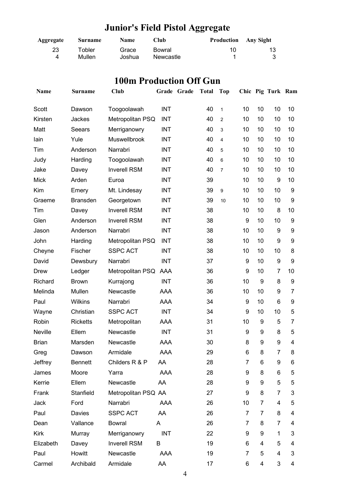# **Junior's Field Pistol Aggregate**

| Aggregate | Surname | <b>Name</b> | Club      | <b>Production</b> Any Sight |  |
|-----------|---------|-------------|-----------|-----------------------------|--|
| 23        | Tobler  | Grace       | Bowral    | 10                          |  |
| 4         | Mullen  | Joshual     | Newcastle |                             |  |

#### **100m Production Off Gun**

| <b>Name</b>  | Surname         | Club                |            | Grade Grade | <b>Total</b> | <b>Top</b>     |                |                | Chic Pig Turk Ram |    |
|--------------|-----------------|---------------------|------------|-------------|--------------|----------------|----------------|----------------|-------------------|----|
| Scott        | Dawson          | Toogoolawah         | <b>INT</b> |             | 40           | $\mathbf{1}$   | 10             | 10             | 10                | 10 |
| Kirsten      | Jackes          | Metropolitan PSQ    | <b>INT</b> |             | 40           | $\overline{2}$ | 10             | 10             | 10                | 10 |
| Matt         | Seears          | Merriganowry        | <b>INT</b> |             | 40           | 3              | 10             | 10             | 10                | 10 |
| lain         | Yule            | Muswellbrook        | <b>INT</b> |             | 40           | $\overline{4}$ | 10             | 10             | 10                | 10 |
| Tim          | Anderson        | Narrabri            | <b>INT</b> |             | 40           | 5              | 10             | 10             | 10                | 10 |
| Judy         | Harding         | Toogoolawah         | <b>INT</b> |             | 40           | 6              | 10             | 10             | 10                | 10 |
| Jake         | Davey           | <b>Inverell RSM</b> | <b>INT</b> |             | 40           | $\overline{7}$ | 10             | 10             | 10                | 10 |
| <b>Mick</b>  | Arden           | Euroa               | <b>INT</b> |             | 39           |                | 10             | 10             | 9                 | 10 |
| Kim          | Emery           | Mt. Lindesay        | <b>INT</b> |             | 39           | 9              | 10             | 10             | 10                | 9  |
| Graeme       | <b>Bransden</b> | Georgetown          | <b>INT</b> |             | 39           | 10             | 10             | 10             | 10                | 9  |
| Tim          | Davey           | <b>Inverell RSM</b> | <b>INT</b> |             | 38           |                | 10             | 10             | 8                 | 10 |
| Glen         | Anderson        | <b>Inverell RSM</b> | <b>INT</b> |             | 38           |                | 9              | 10             | 10                | 9  |
| Jason        | Anderson        | Narrabri            | <b>INT</b> |             | 38           |                | 10             | 10             | 9                 | 9  |
| John         | Harding         | Metropolitan PSQ    | <b>INT</b> |             | 38           |                | 10             | 10             | 9                 | 9  |
| Cheyne       | Fischer         | <b>SSPC ACT</b>     | <b>INT</b> |             | 38           |                | 10             | 10             | 10                | 8  |
| David        | Dewsbury        | Narrabri            | <b>INT</b> |             | 37           |                | 9              | 10             | 9                 | 9  |
| <b>Drew</b>  | Ledger          | Metropolitan PSQ    | AAA        |             | 36           |                | 9              | 10             | 7                 | 10 |
| Richard      | <b>Brown</b>    | Kurrajong           | <b>INT</b> |             | 36           |                | 10             | 9              | 8                 | 9  |
| Melinda      | Mullen          | Newcastle           | <b>AAA</b> |             | 36           |                | 10             | 10             | 9                 | 7  |
| Paul         | <b>Wilkins</b>  | Narrabri            | <b>AAA</b> |             | 34           |                | 9              | 10             | 6                 | 9  |
| Wayne        | Christian       | <b>SSPC ACT</b>     | <b>INT</b> |             | 34           |                | 9              | 10             | 10                | 5  |
| Robin        | <b>Ricketts</b> | Metropolitan        | AAA        |             | 31           |                | 10             | 9              | 5                 | 7  |
| Neville      | Ellem           | Newcastle           | <b>INT</b> |             | 31           |                | 9              | 9              | 8                 | 5  |
| <b>Brian</b> | Marsden         | Newcastle           | AAA        |             | 30           |                | 8              | 9              | 9                 | 4  |
| Greg         | Dawson          | Armidale            | AAA        |             | 29           |                | 6              | 8              | $\overline{7}$    | 8  |
| Jeffrey      | <b>Bennett</b>  | Childers R & P      | AA         |             | 28           |                | 7              | 6              | 9                 | 6  |
| James        | Moore           | Yarra               | <b>AAA</b> |             | 28           |                | 9              | 8              | 6                 | 5  |
| Kerrie       | Ellem           | Newcastle           | AA         |             | 28           |                | 9              | 9              | 5                 | 5  |
| Frank        | Stanfield       | Metropolitan PSQ AA |            |             | 27           |                | 9              | 8              | 7                 | 3  |
| Jack         | Ford            | Narrabri            | AAA        |             | 26           |                | 10             | 7              | 4                 | 5  |
| Paul         | Davies          | <b>SSPC ACT</b>     | AA         |             | 26           |                | $\overline{7}$ | $\overline{7}$ | 8                 | 4  |
| Dean         | Vallance        | <b>Bowral</b>       | A          |             | 26           |                | 7              | 8              | 7                 | 4  |
| Kirk         | Murray          | Merriganowry        | <b>INT</b> |             | 22           |                | 9              | 9              | 1                 | 3  |
| Elizabeth    | Davey           | <b>Inverell RSM</b> | В          |             | 19           |                | 6              | 4              | 5                 | 4  |
| Paul         | Howitt          | Newcastle           | AAA        |             | 19           |                | 7              | 5              | 4                 | 3  |
| Carmel       | Archibald       | Armidale            | AA         |             | 17           |                | 6              | 4              | 3                 | 4  |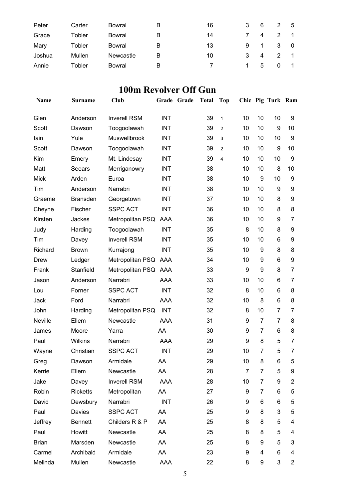| Peter  | Carter | Bowral    | в | 16 | 3  | 6            | 2   | - 5 |
|--------|--------|-----------|---|----|----|--------------|-----|-----|
| Grace  | Tobler | Bowral    | В | 14 |    | $\Delta$     |     |     |
| Mary   | Tobler | Bowral    | в | 13 | 9  |              | - 3 | - 0 |
| Joshua | Mullen | Newcastle | В | 10 | 3  | 4            |     |     |
| Annie  | Tobler | Bowral    | в |    | 1. | $\mathbf{b}$ |     |     |

### **100m Revolver Off Gun**

| Name         | Surname         | Club                 |            | Grade Grade | <b>Total</b> | <b>Top</b>     |    |                | Chic Pig Turk Ram |                |
|--------------|-----------------|----------------------|------------|-------------|--------------|----------------|----|----------------|-------------------|----------------|
| Glen         | Anderson        | <b>Inverell RSM</b>  | <b>INT</b> |             | 39           | $\mathbf{1}$   | 10 | 10             | 10                | 9              |
| Scott        | Dawson          | Toogoolawah          | <b>INT</b> |             | 39           | $\overline{2}$ | 10 | 10             | 9                 | 10             |
| lain         | Yule            | Muswellbrook         | <b>INT</b> |             | 39           | 3              | 10 | 10             | 10                | 9              |
| Scott        | Dawson          | Toogoolawah          | <b>INT</b> |             | 39           | $\overline{2}$ | 10 | 10             | 9                 | 10             |
| Kim          | Emery           | Mt. Lindesay         | <b>INT</b> |             | 39           | $\overline{4}$ | 10 | 10             | 10                | 9              |
| Matt         | Seears          | Merriganowry         | <b>INT</b> |             | 38           |                | 10 | 10             | 8                 | 10             |
| <b>Mick</b>  | Arden           | Euroa                | <b>INT</b> |             | 38           |                | 10 | 9              | 10                | 9              |
| Tim          | Anderson        | Narrabri             | <b>INT</b> |             | 38           |                | 10 | 10             | 9                 | 9              |
| Graeme       | <b>Bransden</b> | Georgetown           | <b>INT</b> |             | 37           |                | 10 | 10             | 8                 | 9              |
| Cheyne       | Fischer         | <b>SSPC ACT</b>      | <b>INT</b> |             | 36           |                | 10 | 10             | 8                 | 8              |
| Kirsten      | Jackes          | Metropolitan PSQ     | AAA        |             | 36           |                | 10 | 10             | 9                 | 7              |
| Judy         | Harding         | Toogoolawah          | <b>INT</b> |             | 35           |                | 8  | 10             | 8                 | 9              |
| Tim          | Davey           | <b>Inverell RSM</b>  | <b>INT</b> |             | 35           |                | 10 | 10             | 6                 | 9              |
| Richard      | <b>Brown</b>    | Kurrajong            | <b>INT</b> |             | 35           |                | 10 | 9              | 8                 | 8              |
| <b>Drew</b>  | Ledger          | Metropolitan PSQ AAA |            |             | 34           |                | 10 | 9              | 6                 | 9              |
| Frank        | Stanfield       | Metropolitan PSQ AAA |            |             | 33           |                | 9  | 9              | 8                 | 7              |
| Jason        | Anderson        | Narrabri             | AAA        |             | 33           |                | 10 | 10             | 6                 | 7              |
| Lou          | Forner          | <b>SSPC ACT</b>      | <b>INT</b> |             | 32           |                | 8  | 10             | 6                 | 8              |
| Jack         | Ford            | Narrabri             | AAA        |             | 32           |                | 10 | 8              | 6                 | 8              |
| John         | Harding         | Metropolitan PSQ     | <b>INT</b> |             | 32           |                | 8  | 10             | 7                 | 7              |
| Neville      | Ellem           | Newcastle            | <b>AAA</b> |             | 31           |                | 9  | $\overline{7}$ | 7                 | 8              |
| James        | Moore           | Yarra                | AA         |             | 30           |                | 9  | 7              | 6                 | 8              |
| Paul         | Wilkins         | Narrabri             | <b>AAA</b> |             | 29           |                | 9  | 8              | 5                 | 7              |
| Wayne        | Christian       | <b>SSPC ACT</b>      | <b>INT</b> |             | 29           |                | 10 | $\overline{7}$ | 5                 | 7              |
| Greg         | Dawson          | Armidale             | AA         |             | 29           |                | 10 | 8              | 6                 | 5              |
| Kerrie       | Ellem           | Newcastle            | AA         |             | 28           |                | 7  | 7              | 5                 | 9              |
| Jake         | Davey           | <b>Inverell RSM</b>  | AAA        |             | 28           |                | 10 | 7              | 9                 | 2              |
| Robin        | <b>Ricketts</b> | Metropolitan         | AA         |             | 27           |                | 9  | 7              | 6                 | 5              |
| David        | Dewsbury        | Narrabri             | <b>INT</b> |             | 26           |                | 9  | 6              | 6                 | 5              |
| Paul         | Davies          | <b>SSPC ACT</b>      | AA         |             | 25           |                | 9  | 8              | 3                 | 5              |
| Jeffrey      | <b>Bennett</b>  | Childers R & P       | AA         |             | 25           |                | 8  | 8              | 5                 | 4              |
| Paul         | Howitt          | Newcastle            | AA         |             | 25           |                | 8  | 8              | 5                 | 4              |
| <b>Brian</b> | Marsden         | Newcastle            | AA         |             | 25           |                | 8  | 9              | 5                 | 3              |
| Carmel       | Archibald       | Armidale             | AA         |             | 23           |                | 9  | 4              | 6                 | 4              |
| Melinda      | Mullen          | Newcastle            | AAA        |             | 22           |                | 8  | 9              | 3                 | $\overline{c}$ |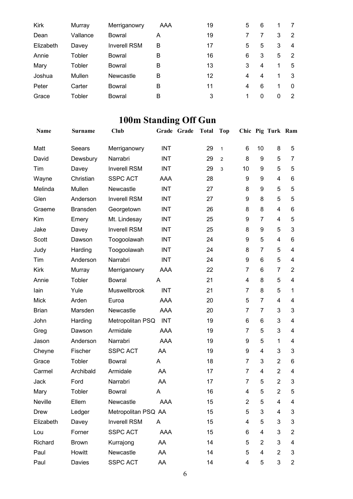| Murray   | Merriganowry        | AAA | 19 | 5 | 6 |          |                |
|----------|---------------------|-----|----|---|---|----------|----------------|
| Vallance | Bowral              | A   | 19 |   |   | 3        | 2              |
| Davey    | <b>Inverell RSM</b> | B   | 17 | 5 | 5 | 3        | 4              |
| Tobler   | Bowral              | B   | 16 | 6 | 3 | 5        | -2             |
| Tobler   | Bowral              | B   | 13 | 3 | 4 |          | $\overline{5}$ |
| Mullen   | Newcastle           | B   | 12 | 4 | 4 |          | 3              |
| Carter   | Bowral              | в   | 11 | 4 | 6 | 1        | $\Omega$       |
| Tobler   | Bowral              | B   | 3  |   | 0 | $\Omega$ | 2              |
|          |                     |     |    |   |   |          |                |

## **100m Standing Off Gun**

| Name         | <b>Surname</b>  | <b>Club</b>         |            | Grade Grade | <b>Total</b> | <b>Top</b>     |                |                          | Chic Pig Turk Ram |                |
|--------------|-----------------|---------------------|------------|-------------|--------------|----------------|----------------|--------------------------|-------------------|----------------|
| Matt         | Seears          | Merriganowry        | <b>INT</b> |             | 29           | $\mathbf{1}$   | 6              | 10                       | 8                 | 5              |
| David        | Dewsbury        | Narrabri            | <b>INT</b> |             | 29           | $\overline{2}$ | 8              | $\boldsymbol{9}$         | 5                 | 7              |
| Tim          | Davey           | <b>Inverell RSM</b> | <b>INT</b> |             | 29           | 3              | 10             | 9                        | 5                 | 5              |
| Wayne        | Christian       | <b>SSPC ACT</b>     | AAA        |             | 28           |                | 9              | 9                        | $\overline{4}$    | 6              |
| Melinda      | Mullen          | Newcastle           | <b>INT</b> |             | 27           |                | 8              | 9                        | 5                 | 5              |
| Glen         | Anderson        | <b>Inverell RSM</b> | <b>INT</b> |             | 27           |                | 9              | 8                        | 5                 | 5              |
| Graeme       | <b>Bransden</b> | Georgetown          | <b>INT</b> |             | 26           |                | 8              | 8                        | $\overline{4}$    | 6              |
| Kim          | Emery           | Mt. Lindesay        | <b>INT</b> |             | 25           |                | 9              | $\overline{7}$           | $\overline{4}$    | 5              |
| Jake         | Davey           | <b>Inverell RSM</b> | <b>INT</b> |             | 25           |                | 8              | 9                        | 5                 | 3              |
| Scott        | Dawson          | Toogoolawah         | <b>INT</b> |             | 24           |                | 9              | 5                        | $\overline{4}$    | 6              |
| Judy         | Harding         | Toogoolawah         | <b>INT</b> |             | 24           |                | 8              | $\overline{7}$           | 5                 | 4              |
| Tim          | Anderson        | Narrabri            | <b>INT</b> |             | 24           |                | 9              | 6                        | 5                 | 4              |
| Kirk         | Murray          | Merriganowry        | AAA        |             | 22           |                | $\overline{7}$ | 6                        | $\overline{7}$    | $\overline{2}$ |
| Annie        | Tobler          | <b>Bowral</b>       | A          |             | 21           |                | 4              | 8                        | 5                 | 4              |
| lain         | Yule            | Muswellbrook        | <b>INT</b> |             | 21           |                | 7              | 8                        | 5                 | 1              |
| <b>Mick</b>  | Arden           | Euroa               | AAA        |             | 20           |                | 5              | $\overline{7}$           | $\overline{4}$    | 4              |
| <b>Brian</b> | Marsden         | Newcastle           | AAA        |             | 20           |                | 7              | $\overline{7}$           | 3                 | 3              |
| John         | Harding         | Metropolitan PSQ    | <b>INT</b> |             | 19           |                | 6              | 6                        | 3                 | 4              |
| Greg         | Dawson          | Armidale            | AAA        |             | 19           |                | 7              | 5                        | 3                 | 4              |
| Jason        | Anderson        | Narrabri            | <b>AAA</b> |             | 19           |                | 9              | 5                        | 1                 | 4              |
| Cheyne       | Fischer         | <b>SSPC ACT</b>     | AA         |             | 19           |                | 9              | 4                        | 3                 | 3              |
| Grace        | Tobler          | <b>Bowral</b>       | A          |             | 18           |                | 7              | 3                        | $\overline{2}$    | 6              |
| Carmel       | Archibald       | Armidale            | AA         |             | 17           |                | 7              | $\overline{\mathcal{A}}$ | $\overline{2}$    | 4              |
| Jack         | Ford            | Narrabri            | AA         |             | 17           |                | 7              | 5                        | $\overline{2}$    | 3              |
| Mary         | Tobler          | Bowral              | A          |             | 16           |                | 4              | 5                        | $\overline{2}$    | 5.             |
| Neville      | Ellem           | Newcastle           | AAA        |             | 15           |                | 2              | 5                        | 4                 | 4              |
| <b>Drew</b>  | Ledger          | Metropolitan PSQ AA |            |             | 15           |                | 5              | 3                        | 4                 | 3              |
| Elizabeth    | Davey           | <b>Inverell RSM</b> | A          |             | 15           |                | 4              | 5                        | 3                 | 3              |
| Lou          | Forner          | SSPC ACT            | AAA        |             | 15           |                | 6              | 4                        | 3                 | $\overline{c}$ |
| Richard      | <b>Brown</b>    | Kurrajong           | AA         |             | 14           |                | 5              | $\overline{2}$           | 3                 | 4              |
| Paul         | Howitt          | Newcastle           | AA         |             | 14           |                | 5              | $\overline{\mathbf{4}}$  | $\overline{2}$    | 3              |
| Paul         | Davies          | <b>SSPC ACT</b>     | AA         |             | 14           |                | 4              | 5                        | 3                 | $\overline{c}$ |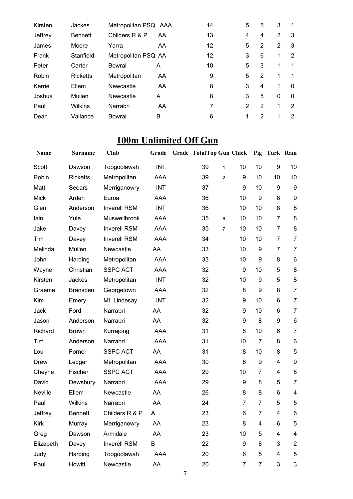| Kirsten | Jackes          | Metropolitan PSQ AAA |    | 14 | 5 | 5 | 3            | $\overline{1}$ |
|---------|-----------------|----------------------|----|----|---|---|--------------|----------------|
| Jeffrey | <b>Bennett</b>  | Childers R & P       | AA | 13 | 4 | 4 | 2            | 3              |
| James   | Moore           | Yarra                | AA | 12 | 5 | 2 | 2            | 3              |
| Frank   | Stanfield       | Metropolitan PSQ AA  |    | 12 | 3 | 6 | 1            | 2              |
| Peter   | Carter          | Bowral               | A  | 10 | 5 | 3 | 1            | $\mathbf 1$    |
| Robin   | <b>Ricketts</b> | Metropolitan         | AA | 9  | 5 | 2 | 1            | $\mathbf 1$    |
| Kerrie  | Ellem           | Newcastle            | AA | 8  | 3 | 4 | 1            | $\Omega$       |
| Joshua  | Mullen          | Newcastle            | A  | 8  | 3 | 5 | $\mathbf{0}$ | $\mathbf{0}$   |
| Paul    | Wilkins         | Narrabri             | AA |    | 2 | 2 | 1            | 2              |
| Dean    | Vallance        | Bowral               | в  | 6  |   | 2 | 1            | 2              |

### **100m Unlimited Off Gun**

| Name        | <b>Surname</b>  | Club                | Grade      | <b>Grade TotalTop Gun Chick</b> |                |                | Pig              | Turk Ram       |                  |
|-------------|-----------------|---------------------|------------|---------------------------------|----------------|----------------|------------------|----------------|------------------|
| Scott       | Dawson          | Toogoolawah         | <b>INT</b> | 39                              | $\mathbf{1}$   | 10             | 10               | 9              | 10               |
| Robin       | <b>Ricketts</b> | Metropolitan        | AAA        | 39                              | $\overline{2}$ | 9              | 10               | 10             | 10               |
| Matt        | Seears          | Merriganowry        | <b>INT</b> | 37                              |                | 9              | 10               | 9              | $\boldsymbol{9}$ |
| <b>Mick</b> | Arden           | Euroa               | AAA        | 36                              |                | 10             | 9                | 8              | $\boldsymbol{9}$ |
| Glen        | Anderson        | <b>Inverell RSM</b> | <b>INT</b> | 36                              |                | 10             | 10               | 8              | 8                |
| lain        | Yule            | Muswellbrook        | AAA        | 35                              | 6              | 10             | 10               | $\overline{7}$ | 8                |
| Jake        | Davey           | <b>Inverell RSM</b> | AAA        | 35                              | $\overline{7}$ | 10             | 10               | $\overline{7}$ | 8                |
| Tim         | Davey           | <b>Inverell RSM</b> | AAA        | 34                              |                | 10             | 10               | 7              | $\overline{7}$   |
| Melinda     | Mullen          | Newcastle           | AA         | 33                              |                | 10             | 9                | 7              | $\overline{7}$   |
| John        | Harding         | Metropolitan        | AAA        | 33                              |                | 10             | 9                | 8              | 6                |
| Wayne       | Christian       | <b>SSPC ACT</b>     | <b>AAA</b> | 32                              |                | 9              | 10               | 5              | 8                |
| Kirsten     | Jackes          | Metropolitan        | <b>INT</b> | 32                              |                | 10             | 9                | 5              | 8                |
| Graeme      | <b>Bransden</b> | Georgetown          | AAA        | 32                              |                | 8              | 9                | 8              | $\overline{7}$   |
| Kim         | Emery           | Mt. Lindesay        | <b>INT</b> | 32                              |                | 9              | 10               | 6              | $\overline{7}$   |
| Jack        | Ford            | Narrabri            | AA         | 32                              |                | 9              | 10               | 6              | $\overline{7}$   |
| Jason       | Anderson        | Narrabri            | AA         | 32                              |                | 9              | 8                | 9              | 6                |
| Richard     | <b>Brown</b>    | Kurrajong           | AAA        | 31                              |                | 8              | 10               | 6              | $\overline{7}$   |
| Tim         | Anderson        | Narrabri            | AAA        | 31                              |                | 10             | $\overline{7}$   | 8              | $\,6\,$          |
| Lou         | Forner          | <b>SSPC ACT</b>     | AA         | 31                              |                | 8              | 10               | 8              | 5                |
| <b>Drew</b> | Ledger          | Metropolitan        | AAA        | 30                              |                | 8              | $\boldsymbol{9}$ | 4              | $\boldsymbol{9}$ |
| Cheyne      | Fischer         | <b>SSPC ACT</b>     | AAA        | 29                              |                | 10             | 7                | 4              | 8                |
| David       | Dewsbury        | Narrabri            | AAA        | 29                              |                | 9              | 8                | 5              | $\overline{7}$   |
| Neville     | Ellem           | Newcastle           | AA         | 26                              |                | 8              | 8                | 6              | 4                |
| Paul        | Wilkins         | Narrabri            | AA         | 24                              |                | $\overline{7}$ | 7                | 5              | 5                |
| Jeffrey     | <b>Bennett</b>  | Childers R & P      | A          | 23                              |                | 6              | 7                | 4              | 6                |
| Kirk        | Murray          | Merriganowry        | AA         | 23                              |                | 8              | 4                | 6              | 5                |
| Greg        | Dawson          | Armidale            | AA         | 23                              |                | 10             | 5                | 4              | 4                |
| Elizabeth   | Davey           | <b>Inverell RSM</b> | B          | 22                              |                | 9              | 8                | 3              | $\overline{c}$   |
| Judy        | Harding         | Toogoolawah         | AAA        | 20                              |                | 6              | 5                | 4              | $\mathbf 5$      |
| Paul        | Howitt          | Newcastle           | AA         | 20                              |                | $\overline{7}$ | 7                | 3              | 3                |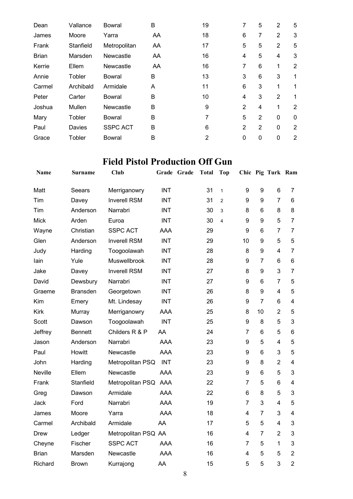| Dean         | Vallance  | Bowral          | B  | 19 | 7              | 5              | 2              | 5              |
|--------------|-----------|-----------------|----|----|----------------|----------------|----------------|----------------|
| James        | Moore     | Yarra           | AA | 18 | 6              | 7              | 2              | 3              |
| Frank        | Stanfield | Metropolitan    | AA | 17 | 5              | 5              | 2              | 5              |
| <b>Brian</b> | Marsden   | Newcastle       | AA | 16 | $\overline{4}$ | 5              | 4              | 3              |
| Kerrie       | Ellem     | Newcastle       | AA | 16 | 7              | 6              | 1              | 2              |
| Annie        | Tobler    | Bowral          | B  | 13 | 3              | 6              | 3              | 1              |
| Carmel       | Archibald | Armidale        | A  | 11 | 6              | 3              | 1              | 1              |
| Peter        | Carter    | Bowral          | B  | 10 | $\overline{4}$ | 3              | $\overline{2}$ | 1              |
| Joshua       | Mullen    | Newcastle       | B  | 9  | $\overline{2}$ | $\overline{4}$ | 1              | $\overline{2}$ |
| Mary         | Tobler    | Bowral          | B  | 7  | 5              | $\overline{2}$ | $\Omega$       | 0              |
| Paul         | Davies    | <b>SSPC ACT</b> | B  | 6  | $\overline{2}$ | $\overline{2}$ | $\Omega$       | $\overline{2}$ |
| Grace        | Tobler    | Bowral          | в  | 2  | $\Omega$       | $\Omega$       | $\Omega$       | 2              |

### **Field Pistol Production Off Gun**

| <b>Name</b>    | Surname         | Club                |            | Grade Grade | <b>Total</b> | Top            |                         |                | Chic Pig Turk Ram |                         |
|----------------|-----------------|---------------------|------------|-------------|--------------|----------------|-------------------------|----------------|-------------------|-------------------------|
| Matt           | Seears          | Merriganowry        | <b>INT</b> |             | 31           | $\mathbf{1}$   | 9                       | 9              | 6                 | 7                       |
| Tim            | Davey           | <b>Inverell RSM</b> | <b>INT</b> |             | 31           | $\overline{2}$ | 9                       | 9              | $\overline{7}$    | 6                       |
| Tim            | Anderson        | Narrabri            | <b>INT</b> |             | 30           | 3              | 8                       | 6              | 8                 | 8                       |
| <b>Mick</b>    | Arden           | Euroa               | <b>INT</b> |             | 30           | $\overline{4}$ | 9                       | 9              | 5                 | $\overline{7}$          |
| Wayne          | Christian       | <b>SSPC ACT</b>     | <b>AAA</b> |             | 29           |                | 9                       | 6              | $\overline{7}$    | 7                       |
| Glen           | Anderson        | <b>Inverell RSM</b> | <b>INT</b> |             | 29           |                | 10                      | 9              | 5                 | 5                       |
| Judy           | Harding         | Toogoolawah         | <b>INT</b> |             | 28           |                | 8                       | 9              | 4                 | $\overline{7}$          |
| lain           | Yule            | Muswellbrook        | <b>INT</b> |             | 28           |                | 9                       | $\overline{7}$ | 6                 | 6                       |
| Jake           | Davey           | <b>Inverell RSM</b> | <b>INT</b> |             | 27           |                | 8                       | 9              | 3                 | 7                       |
| David          | Dewsbury        | Narrabri            | <b>INT</b> |             | 27           |                | 9                       | 6              | 7                 | 5                       |
| Graeme         | <b>Bransden</b> | Georgetown          | <b>INT</b> |             | 26           |                | 8                       | 9              | $\overline{4}$    | 5                       |
| Kim            | Emery           | Mt. Lindesay        | <b>INT</b> |             | 26           |                | 9                       | $\overline{7}$ | 6                 | $\overline{4}$          |
| <b>Kirk</b>    | Murray          | Merriganowry        | <b>AAA</b> |             | 25           |                | 8                       | 10             | $\overline{2}$    | 5                       |
| Scott          | Dawson          | Toogoolawah         | <b>INT</b> |             | 25           |                | $\boldsymbol{9}$        | 8              | 5                 | 3                       |
| Jeffrey        | <b>Bennett</b>  | Childers R & P      | AA         |             | 24           |                | $\overline{7}$          | 6              | 5                 | $6\phantom{1}$          |
| Jason          | Anderson        | Narrabri            | <b>AAA</b> |             | 23           |                | 9                       | 5              | $\overline{4}$    | 5                       |
| Paul           | Howitt          | Newcastle           | AAA        |             | 23           |                | 9                       | 6              | 3                 | 5                       |
| John           | Harding         | Metropolitan PSQ    | <b>INT</b> |             | 23           |                | 9                       | 8              | $\overline{2}$    | $\overline{\mathbf{4}}$ |
| <b>Neville</b> | Ellem           | Newcastle           | AAA        |             | 23           |                | 9                       | 6              | 5                 | 3                       |
| Frank          | Stanfield       | Metropolitan PSQ    | AAA        |             | 22           |                | $\overline{7}$          | 5              | 6                 | $\overline{\mathbf{4}}$ |
| Greg           | Dawson          | Armidale            | <b>AAA</b> |             | 22           |                | $6\phantom{1}$          | 8              | 5                 | 3                       |
| Jack           | Ford            | Narrabri            | <b>AAA</b> |             | 19           |                | $\overline{7}$          | 3              | $\overline{4}$    | 5                       |
| James          | Moore           | Yarra               | <b>AAA</b> |             | 18           |                | $\overline{4}$          | $\overline{7}$ | 3                 | $\overline{4}$          |
| Carmel         | Archibald       | Armidale            | AA         |             | 17           |                | 5                       | 5              | 4                 | 3                       |
| Drew           | Ledger          | Metropolitan PSQ AA |            |             | 16           |                | $\overline{\mathbf{4}}$ | $\overline{7}$ | $\overline{2}$    | 3                       |
| Cheyne         | Fischer         | <b>SSPC ACT</b>     | <b>AAA</b> |             | 16           |                | $\overline{7}$          | 5              | $\mathbf{1}$      | 3                       |
| <b>Brian</b>   | Marsden         | Newcastle           | <b>AAA</b> |             | 16           |                | 4                       | 5              | 5                 | $\overline{2}$          |
| Richard        | <b>Brown</b>    | Kurrajong           | AA         |             | 15           |                | 5                       | 5              | 3                 | $\overline{2}$          |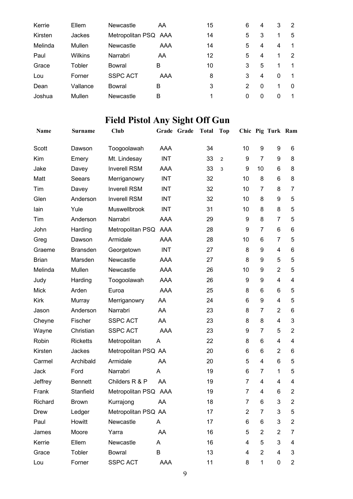| Kerrie  | Ellem    | Newcastle            | AA  | 15 | 6 | 4 | 3        | 2              |
|---------|----------|----------------------|-----|----|---|---|----------|----------------|
| Kirsten | Jackes   | Metropolitan PSQ AAA |     | 14 | 5 | 3 |          | 5              |
| Melinda | Mullen   | <b>Newcastle</b>     | AAA | 14 | 5 | 4 | 4        | -1             |
| Paul    | Wilkins  | Narrabri             | AA  | 12 | 5 | 4 | 1.       | $\mathcal{P}$  |
| Grace   | Tobler   | Bowral               | в   | 10 | 3 | 5 |          | -1             |
| Lou     | Forner   | <b>SSPC ACT</b>      | AAA | 8  | 3 | 4 | $\Omega$ | -1             |
| Dean    | Vallance | Bowral               | в   | 3  | 2 | 0 |          | $\Omega$       |
| Joshua  | Mullen   | Newcastle            | в   |    | 0 | 0 | 0        | $\overline{1}$ |
|         |          |                      |     |    |   |   |          |                |

# **Field Pistol Any Sight Off Gun**

| Name         | <b>Surname</b>  | <b>Club</b>          |            | Grade Grade | <b>Total</b> | <b>Top</b>     |                         |                  | Chic Pig Turk Ram |                |
|--------------|-----------------|----------------------|------------|-------------|--------------|----------------|-------------------------|------------------|-------------------|----------------|
| Scott        | Dawson          | Toogoolawah          | AAA        |             | 34           |                | 10                      | 9                | 9                 | 6              |
| Kim          | Emery           | Mt. Lindesay         | <b>INT</b> |             | 33           | $\overline{2}$ | 9                       | $\overline{7}$   | 9                 | 8              |
| Jake         | Davey           | <b>Inverell RSM</b>  | <b>AAA</b> |             | 33           | 3              | 9                       | 10               | 6                 | 8              |
| Matt         | Seears          | Merriganowry         | <b>INT</b> |             | 32           |                | 10                      | 8                | 6                 | 8              |
| Tim          | Davey           | <b>Inverell RSM</b>  | <b>INT</b> |             | 32           |                | 10                      | 7                | 8                 | 7              |
| Glen         | Anderson        | <b>Inverell RSM</b>  | <b>INT</b> |             | 32           |                | 10                      | 8                | 9                 | 5              |
| lain         | Yule            | Muswellbrook         | <b>INT</b> |             | 31           |                | 10                      | 8                | 8                 | 5              |
| Tim          | Anderson        | Narrabri             | AAA        |             | 29           |                | 9                       | 8                | $\overline{7}$    | 5              |
| John         | Harding         | Metropolitan PSQ     | AAA        |             | 28           |                | 9                       | 7                | 6                 | 6              |
| Greg         | Dawson          | Armidale             | AAA        |             | 28           |                | 10                      | 6                | $\overline{7}$    | 5              |
| Graeme       | <b>Bransden</b> | Georgetown           | <b>INT</b> |             | 27           |                | 8                       | 9                | 4                 | 6              |
| <b>Brian</b> | Marsden         | Newcastle            | AAA        |             | 27           |                | 8                       | 9                | 5                 | 5              |
| Melinda      | Mullen          | Newcastle            | AAA        |             | 26           |                | 10                      | 9                | $\overline{2}$    | 5              |
| Judy         | Harding         | Toogoolawah          | AAA        |             | 26           |                | 9                       | 9                | $\overline{4}$    | 4              |
| <b>Mick</b>  | Arden           | Euroa                | AAA        |             | 25           |                | 8                       | 6                | 6                 | 5              |
| <b>Kirk</b>  | Murray          | Merriganowry         | AA         |             | 24           |                | 6                       | $\boldsymbol{9}$ | $\overline{4}$    | 5              |
| Jason        | Anderson        | Narrabri             | AA         |             | 23           |                | 8                       | 7                | $\overline{2}$    | 6              |
| Cheyne       | Fischer         | <b>SSPC ACT</b>      | AA         |             | 23           |                | 8                       | 8                | 4                 | 3              |
| Wayne        | Christian       | <b>SSPC ACT</b>      | <b>AAA</b> |             | 23           |                | 9                       | 7                | 5                 | $\overline{2}$ |
| Robin        | <b>Ricketts</b> | Metropolitan         | A          |             | 22           |                | 8                       | 6                | $\overline{4}$    | 4              |
| Kirsten      | Jackes          | Metropolitan PSQ AA  |            |             | 20           |                | 6                       | 6                | $\overline{2}$    | 6              |
| Carmel       | Archibald       | Armidale             | AA         |             | 20           |                | 5                       | 4                | 6                 | 5              |
| Jack         | Ford            | Narrabri             | Α          |             | 19           |                | 6                       | $\overline{7}$   | 1                 | 5              |
| Jeffrey      | <b>Bennett</b>  | Childers R & P       | AA         |             | 19           |                | $\overline{7}$          | $\overline{4}$   | $\overline{4}$    | 4              |
| Frank        | Stanfield       | Metropolitan PSQ AAA |            |             | 19           |                | 7                       | 4                | 6                 | $\overline{2}$ |
| Richard      | <b>Brown</b>    | Kurrajong            | AA         |             | 18           |                | 7                       | 6                | 3                 | 2              |
| <b>Drew</b>  | Ledger          | Metropolitan PSQ AA  |            |             | 17           |                | $\overline{2}$          | 7                | 3                 | 5              |
| Paul         | Howitt          | Newcastle            | A          |             | 17           |                | 6                       | 6                | 3                 | $\overline{2}$ |
| James        | Moore           | Yarra                | AA         |             | 16           |                | 5                       | $\overline{2}$   | $\overline{2}$    | 7              |
| Kerrie       | Ellem           | Newcastle            | A          |             | 16           |                | $\overline{\mathbf{4}}$ | 5                | 3                 | 4              |
| Grace        | Tobler          | <b>Bowral</b>        | B          |             | 13           |                | 4                       | $\overline{2}$   | 4                 | 3              |
| Lou          | Forner          | <b>SSPC ACT</b>      | AAA        |             | 11           |                | 8                       | $\mathbf{1}$     | 0                 | $\overline{c}$ |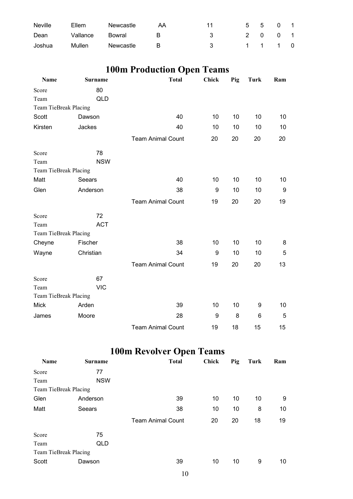| <b>Neville</b> | Ellem    | Newcastle | AA |               | 5 5 0 1 |  |
|----------------|----------|-----------|----|---------------|---------|--|
| Dean           | Vallance | Bowral    | R  | -3.           | 2 0 0 1 |  |
| Joshua         | Mullen   | Newcastle | R  | $\mathcal{R}$ | 1 1 1 0 |  |

|  |  |  |  |  | <b>100m Production Open Teams</b> |
|--|--|--|--|--|-----------------------------------|
|--|--|--|--|--|-----------------------------------|

| Name                  | <b>Surname</b> | <b>Total</b>             | Chick            | Pig | <b>Turk</b> | Ram |
|-----------------------|----------------|--------------------------|------------------|-----|-------------|-----|
| Score                 | 80             |                          |                  |     |             |     |
| Team                  | <b>QLD</b>     |                          |                  |     |             |     |
| Team TieBreak Placing |                |                          |                  |     |             |     |
| Scott                 | Dawson         | 40                       | 10               | 10  | 10          | 10  |
| Kirsten               | Jackes         | 40                       | 10               | 10  | 10          | 10  |
|                       |                | <b>Team Animal Count</b> | 20               | 20  | 20          | 20  |
| Score                 | 78             |                          |                  |     |             |     |
| Team                  | <b>NSW</b>     |                          |                  |     |             |     |
| Team TieBreak Placing |                |                          |                  |     |             |     |
| Matt                  | Seears         | 40                       | 10               | 10  | 10          | 10  |
| Glen                  | Anderson       | 38                       | $\boldsymbol{9}$ | 10  | 10          | 9   |
|                       |                | <b>Team Animal Count</b> | 19               | 20  | 20          | 19  |
| Score                 | 72             |                          |                  |     |             |     |
| Team                  | <b>ACT</b>     |                          |                  |     |             |     |
| Team TieBreak Placing |                |                          |                  |     |             |     |
| Cheyne                | Fischer        | 38                       | 10               | 10  | 10          | 8   |
| Wayne                 | Christian      | 34                       | 9                | 10  | 10          | 5   |
|                       |                | <b>Team Animal Count</b> | 19               | 20  | 20          | 13  |
| Score                 | 67             |                          |                  |     |             |     |
| Team                  | <b>VIC</b>     |                          |                  |     |             |     |
| Team TieBreak Placing |                |                          |                  |     |             |     |
| <b>Mick</b>           | Arden          | 39                       | 10               | 10  | 9           | 10  |
| James                 | Moore          | 28                       | 9                | 8   | 6           | 5   |
|                       |                | <b>Team Animal Count</b> | 19               | 18  | 15          | 15  |

### **100m Revolver Open Teams**

| Name                  | <b>Surname</b> | <b>Total</b>             | <b>Chick</b> | Pig | Turk | Ram |
|-----------------------|----------------|--------------------------|--------------|-----|------|-----|
| Score                 | 77             |                          |              |     |      |     |
| Team                  | <b>NSW</b>     |                          |              |     |      |     |
| Team TieBreak Placing |                |                          |              |     |      |     |
| Glen                  | Anderson       | 39                       | 10           | 10  | 10   | 9   |
| Matt                  | Seears         | 38                       | 10           | 10  | 8    | 10  |
|                       |                | <b>Team Animal Count</b> | 20           | 20  | 18   | 19  |
| Score                 | 75             |                          |              |     |      |     |
| Team                  | QLD            |                          |              |     |      |     |
| Team TieBreak Placing |                |                          |              |     |      |     |
| Scott                 | Dawson         | 39                       | 10           | 10  | 9    | 10  |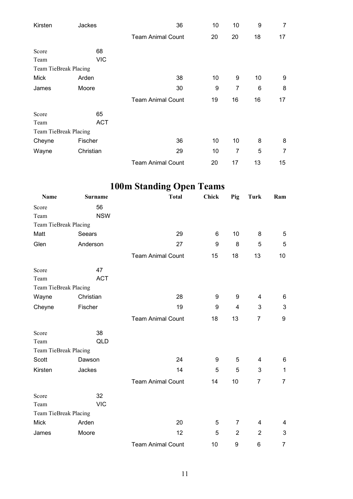| Kirsten               | Jackes     | 36                       | 10 | 10 | 9  | 7  |
|-----------------------|------------|--------------------------|----|----|----|----|
|                       |            | <b>Team Animal Count</b> | 20 | 20 | 18 | 17 |
| Score                 | 68         |                          |    |    |    |    |
| Team                  | <b>VIC</b> |                          |    |    |    |    |
| Team TieBreak Placing |            |                          |    |    |    |    |
| <b>Mick</b>           | Arden      | 38                       | 10 | 9  | 10 | 9  |
| James                 | Moore      | 30                       | 9  | 7  | 6  | 8  |
|                       |            | <b>Team Animal Count</b> | 19 | 16 | 16 | 17 |
| Score                 | 65         |                          |    |    |    |    |
| Team                  | <b>ACT</b> |                          |    |    |    |    |
| Team TieBreak Placing |            |                          |    |    |    |    |
| Cheyne                | Fischer    | 36                       | 10 | 10 | 8  | 8  |
| Wayne                 | Christian  | 29                       | 10 | 7  | 5  | 7  |
|                       |            | <b>Team Animal Count</b> | 20 | 17 | 13 | 15 |

## **100m Standing Open Teams**

| <b>Name</b>           | <b>Surname</b> | <b>Total</b>             | Chick | Pig            | <b>Turk</b>    | Ram            |
|-----------------------|----------------|--------------------------|-------|----------------|----------------|----------------|
| Score                 | 56             |                          |       |                |                |                |
| Team                  | <b>NSW</b>     |                          |       |                |                |                |
| Team TieBreak Placing |                |                          |       |                |                |                |
| Matt                  | Seears         | 29                       | 6     | 10             | 8              | 5              |
| Glen                  | Anderson       | 27                       | 9     | 8              | 5              | 5              |
|                       |                | <b>Team Animal Count</b> | 15    | 18             | 13             | 10             |
| Score                 | 47             |                          |       |                |                |                |
| Team                  | <b>ACT</b>     |                          |       |                |                |                |
| Team TieBreak Placing |                |                          |       |                |                |                |
| Wayne                 | Christian      | 28                       | 9     | 9              | 4              | 6              |
| Cheyne                | Fischer        | 19                       | 9     | $\overline{4}$ | 3              | 3              |
|                       |                | <b>Team Animal Count</b> | 18    | 13             | $\overline{7}$ | 9              |
| Score                 | 38             |                          |       |                |                |                |
| Team                  | <b>QLD</b>     |                          |       |                |                |                |
| Team TieBreak Placing |                |                          |       |                |                |                |
| Scott                 | Dawson         | 24                       | 9     | 5              | 4              | 6              |
| Kirsten               | Jackes         | 14                       | 5     | 5              | 3              | $\mathbf 1$    |
|                       |                | <b>Team Animal Count</b> | 14    | 10             | $\overline{7}$ | $\overline{7}$ |
| Score                 | 32             |                          |       |                |                |                |
| Team                  | <b>VIC</b>     |                          |       |                |                |                |
| Team TieBreak Placing |                |                          |       |                |                |                |
| <b>Mick</b>           | Arden          | 20                       | 5     | $\overline{7}$ | 4              | 4              |
| James                 | Moore          | 12                       | 5     | $\overline{2}$ | $\overline{2}$ | 3              |
|                       |                | <b>Team Animal Count</b> | 10    | 9              | 6              | 7              |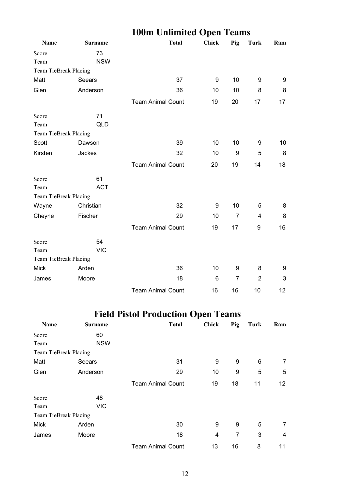|                       |                | <b>100m Unlimited Open Teams</b> |       |     |      |     |  |  |
|-----------------------|----------------|----------------------------------|-------|-----|------|-----|--|--|
| Name                  | <b>Surname</b> | <b>Total</b>                     | Chick | Pig | Turk | Ram |  |  |
| Score                 | 73             |                                  |       |     |      |     |  |  |
| Team                  | <b>NSW</b>     |                                  |       |     |      |     |  |  |
| Team TieBreak Placing |                |                                  |       |     |      |     |  |  |
| Matt                  | Seears         | 37                               | 9     | 10  | 9    | 9   |  |  |
| Glen                  | Anderson       | 36                               | 10    | 10  | 8    | 8   |  |  |
|                       |                | <b>Team Animal Count</b>         | 19    | 20  | 17   | 17  |  |  |
| Score                 | 71             |                                  |       |     |      |     |  |  |
| Team                  | QLD            |                                  |       |     |      |     |  |  |
| Team TieBreak Placing |                |                                  |       |     |      |     |  |  |
| Scott                 | Dawson         | 39                               | 10    | 10  | 9    | 10  |  |  |
| Kirsten               | Jackes         | 32                               | 10    | 9   | 5    | 8   |  |  |
|                       |                | <b>Team Animal Count</b>         | 20    | 19  | 14   | 18  |  |  |
| Score                 | 61             |                                  |       |     |      |     |  |  |
| Team                  | <b>ACT</b>     |                                  |       |     |      |     |  |  |
| Team TieBreak Placing |                |                                  |       |     |      |     |  |  |
| Wayne                 | Christian      | 32                               | 9     | 10  | 5    | 8   |  |  |
| Cheyne                | Fischer        | 29                               | 10    | 7   | 4    | 8   |  |  |
|                       |                | <b>Team Animal Count</b>         | 19    | 17  | 9    | 16  |  |  |

| Score                 | 54         |                          |    |    |    |    |
|-----------------------|------------|--------------------------|----|----|----|----|
| Team                  | <b>VIC</b> |                          |    |    |    |    |
| Team TieBreak Placing |            |                          |    |    |    |    |
| Mick                  | Arden      | 36                       | 10 | 9  | 8  | 9  |
| James                 | Moore      | 18                       | 6  | 7  | 2  | 3  |
|                       |            | <b>Team Animal Count</b> | 16 | 16 | 10 | 12 |

### **Field Pistol Production Open Teams**

| Name                  | <b>Surname</b> | <b>Total</b>             | Chick | Pig | Turk | Ram |
|-----------------------|----------------|--------------------------|-------|-----|------|-----|
| Score                 | 60             |                          |       |     |      |     |
| Team                  | <b>NSW</b>     |                          |       |     |      |     |
| Team TieBreak Placing |                |                          |       |     |      |     |
| Matt                  | Seears         | 31                       | 9     | 9   | 6    | 7   |
| Glen                  | Anderson       | 29                       | 10    | 9   | 5    | 5   |
|                       |                | <b>Team Animal Count</b> | 19    | 18  | 11   | 12  |
| Score                 | 48             |                          |       |     |      |     |
| Team                  | <b>VIC</b>     |                          |       |     |      |     |
| Team TieBreak Placing |                |                          |       |     |      |     |
| <b>Mick</b>           | Arden          | 30                       | 9     | 9   | 5    | 7   |
| James                 | Moore          | 18                       | 4     | 7   | 3    | 4   |
|                       |                | <b>Team Animal Count</b> | 13    | 16  | 8    | 11  |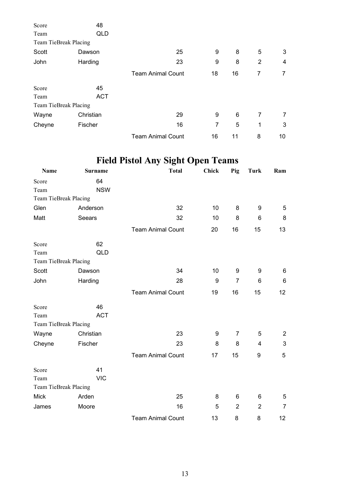| Score                 | 48         |                          |    |    |   |    |
|-----------------------|------------|--------------------------|----|----|---|----|
| Team                  | <b>QLD</b> |                          |    |    |   |    |
| Team TieBreak Placing |            |                          |    |    |   |    |
| Scott                 | Dawson     | 25                       | 9  | 8  | 5 | 3  |
| John                  | Harding    | 23                       | 9  | 8  | 2 | 4  |
|                       |            | <b>Team Animal Count</b> | 18 | 16 | 7 | 7  |
| Score                 | 45         |                          |    |    |   |    |
| Team                  | <b>ACT</b> |                          |    |    |   |    |
| Team TieBreak Placing |            |                          |    |    |   |    |
| Wayne                 | Christian  | 29                       | 9  | 6  | 7 | 7  |
| Cheyne                | Fischer    | 16                       | 7  | 5  | 1 | 3  |
|                       |            | <b>Team Animal Count</b> | 16 | 11 | 8 | 10 |

### **Field Pistol Any Sight Open Teams**

| Name                  | <b>Surname</b> | <b>Total</b>             | <b>Chick</b> | Pig            | <b>Turk</b>    | Ram            |
|-----------------------|----------------|--------------------------|--------------|----------------|----------------|----------------|
| Score                 | 64             |                          |              |                |                |                |
| Team                  | <b>NSW</b>     |                          |              |                |                |                |
| Team TieBreak Placing |                |                          |              |                |                |                |
| Glen                  | Anderson       | 32                       | 10           | 8              | 9              | 5              |
| Matt                  | Seears         | 32                       | 10           | 8              | 6              | 8              |
|                       |                | <b>Team Animal Count</b> | 20           | 16             | 15             | 13             |
| Score                 | 62             |                          |              |                |                |                |
| Team                  | <b>QLD</b>     |                          |              |                |                |                |
| Team TieBreak Placing |                |                          |              |                |                |                |
| Scott                 | Dawson         | 34                       | 10           | 9              | 9              | 6              |
| John                  | Harding        | 28                       | 9            | $\overline{7}$ | 6              | 6              |
|                       |                | <b>Team Animal Count</b> | 19           | 16             | 15             | 12             |
| Score                 | 46             |                          |              |                |                |                |
| Team                  | <b>ACT</b>     |                          |              |                |                |                |
| Team TieBreak Placing |                |                          |              |                |                |                |
| Wayne                 | Christian      | 23                       | 9            | 7              | 5              | $\overline{2}$ |
| Cheyne                | Fischer        | 23                       | 8            | 8              | 4              | 3              |
|                       |                | <b>Team Animal Count</b> | 17           | 15             | 9              | 5              |
| Score                 | 41             |                          |              |                |                |                |
| Team                  | <b>VIC</b>     |                          |              |                |                |                |
| Team TieBreak Placing |                |                          |              |                |                |                |
| <b>Mick</b>           | Arden          | 25                       | 8            | 6              | 6              | 5              |
| James                 | Moore          | 16                       | 5            | $\overline{2}$ | $\overline{2}$ | 7              |
|                       |                | <b>Team Animal Count</b> | 13           | 8              | 8              | 12             |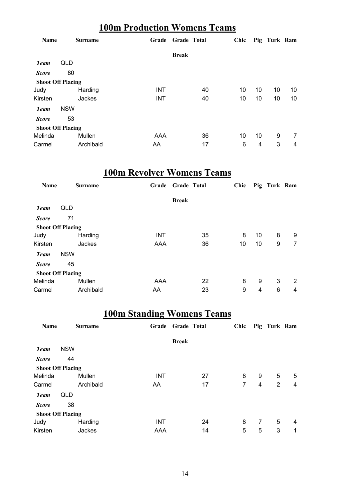#### **100m Production Womens Teams**

| Name                     |            | <b>Surname</b> | Grade      | <b>Grade Total</b> |    | Chic |    | Pig Turk Ram |    |
|--------------------------|------------|----------------|------------|--------------------|----|------|----|--------------|----|
|                          |            |                |            | <b>Break</b>       |    |      |    |              |    |
| <b>Team</b>              | QLD        |                |            |                    |    |      |    |              |    |
| <b>Score</b>             | 80         |                |            |                    |    |      |    |              |    |
| <b>Shoot Off Placing</b> |            |                |            |                    |    |      |    |              |    |
| Judy                     |            | Harding        | <b>INT</b> |                    | 40 | 10   | 10 | 10           | 10 |
| Kirsten                  |            | Jackes         | <b>INT</b> |                    | 40 | 10   | 10 | 10           | 10 |
| <b>Team</b>              | <b>NSW</b> |                |            |                    |    |      |    |              |    |
| <b>Score</b>             | 53         |                |            |                    |    |      |    |              |    |
| <b>Shoot Off Placing</b> |            |                |            |                    |    |      |    |              |    |
| Melinda                  |            | Mullen         | AAA        |                    | 36 | 10   | 10 | 9            | 7  |
| Carmel                   |            | Archibald      | AA         |                    | 17 | 6    | 4  | 3            | 4  |

#### **100m Revolver Womens Teams**

| Name                     |            | <b>Surname</b> | Grade      | <b>Grade Total</b> |    | <b>Chic</b> |    | Pig Turk Ram |   |
|--------------------------|------------|----------------|------------|--------------------|----|-------------|----|--------------|---|
|                          |            |                |            | <b>Break</b>       |    |             |    |              |   |
| <b>Team</b>              | QLD        |                |            |                    |    |             |    |              |   |
| <b>Score</b>             | 71         |                |            |                    |    |             |    |              |   |
| <b>Shoot Off Placing</b> |            |                |            |                    |    |             |    |              |   |
| Judy                     |            | Harding        | <b>INT</b> |                    | 35 | 8           | 10 | 8            | 9 |
| Kirsten                  |            | Jackes         | AAA        |                    | 36 | 10          | 10 | 9            | 7 |
| <b>Team</b>              | <b>NSW</b> |                |            |                    |    |             |    |              |   |
| <b>Score</b>             | 45         |                |            |                    |    |             |    |              |   |
| <b>Shoot Off Placing</b> |            |                |            |                    |    |             |    |              |   |
| Melinda                  |            | Mullen         | AAA        |                    | 22 | 8           | 9  | 3            | 2 |
| Carmel                   |            | Archibald      | AA         |                    | 23 | 9           | 4  | 6            | 4 |

#### **100m Standing Womens Teams**

| Name                     |            | <b>Surname</b> |            | Grade Grade Total |    | Chic |   | Pig Turk Ram |   |
|--------------------------|------------|----------------|------------|-------------------|----|------|---|--------------|---|
|                          |            |                |            | <b>Break</b>      |    |      |   |              |   |
| <b>Team</b>              | <b>NSW</b> |                |            |                   |    |      |   |              |   |
| <b>Score</b>             | 44         |                |            |                   |    |      |   |              |   |
| <b>Shoot Off Placing</b> |            |                |            |                   |    |      |   |              |   |
| Melinda                  |            | Mullen         | <b>INT</b> |                   | 27 | 8    | 9 | 5            | 5 |
| Carmel                   |            | Archibald      | AA         |                   | 17 | 7    | 4 | 2            | 4 |
| <b>Team</b>              | QLD        |                |            |                   |    |      |   |              |   |
| <b>Score</b>             | 38         |                |            |                   |    |      |   |              |   |
| <b>Shoot Off Placing</b> |            |                |            |                   |    |      |   |              |   |
| Judy                     |            | Harding        | <b>INT</b> |                   | 24 | 8    | 7 | 5            | 4 |
| Kirsten                  |            | Jackes         | AAA        |                   | 14 | 5    | 5 | 3            | 1 |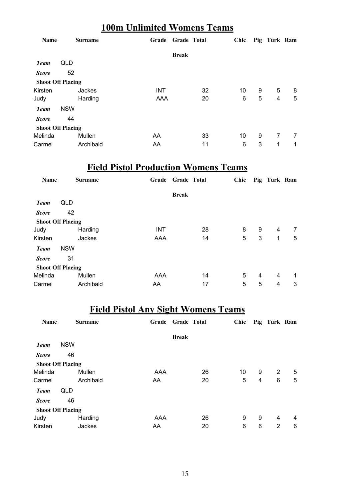#### **100m Unlimited Womens Teams**

| Name                     |            | <b>Surname</b> | Grade      | <b>Grade Total</b> |    | Chic |   | Pig Turk Ram |   |
|--------------------------|------------|----------------|------------|--------------------|----|------|---|--------------|---|
|                          |            |                |            | <b>Break</b>       |    |      |   |              |   |
| <b>Team</b>              | QLD        |                |            |                    |    |      |   |              |   |
| <b>Score</b>             | 52         |                |            |                    |    |      |   |              |   |
| <b>Shoot Off Placing</b> |            |                |            |                    |    |      |   |              |   |
| Kirsten                  |            | Jackes         | <b>INT</b> |                    | 32 | 10   | 9 | 5            | 8 |
| Judy                     |            | Harding        | AAA        |                    | 20 | 6    | 5 | 4            | 5 |
| <b>Team</b>              | <b>NSW</b> |                |            |                    |    |      |   |              |   |
| <b>Score</b>             | 44         |                |            |                    |    |      |   |              |   |
| <b>Shoot Off Placing</b> |            |                |            |                    |    |      |   |              |   |
| Melinda                  |            | Mullen         | AA         |                    | 33 | 10   | 9 | 7            | 7 |
| Carmel                   |            | Archibald      | AA         |                    | 11 | 6    | 3 | 1            | 1 |

#### **Field Pistol Production Womens Teams**

| <b>Name</b>              |            | <b>Surname</b> | Grade      | <b>Grade Total</b> |    | Chic |   | Pig Turk Ram |                |
|--------------------------|------------|----------------|------------|--------------------|----|------|---|--------------|----------------|
|                          |            |                |            | <b>Break</b>       |    |      |   |              |                |
| <b>Team</b>              | QLD        |                |            |                    |    |      |   |              |                |
| <b>Score</b>             | 42         |                |            |                    |    |      |   |              |                |
| <b>Shoot Off Placing</b> |            |                |            |                    |    |      |   |              |                |
| Judy                     |            | Harding        | <b>INT</b> |                    | 28 | 8    | 9 | 4            | $\overline{7}$ |
| Kirsten                  |            | Jackes         | AAA        |                    | 14 | 5    | 3 | $\mathbf{1}$ | 5              |
| <b>Team</b>              | <b>NSW</b> |                |            |                    |    |      |   |              |                |
| <b>Score</b>             | 31         |                |            |                    |    |      |   |              |                |
| <b>Shoot Off Placing</b> |            |                |            |                    |    |      |   |              |                |
| Melinda                  |            | Mullen         | AAA        |                    | 14 | 5    | 4 | 4            | 1              |
| Carmel                   |            | Archibald      | AA         |                    | 17 | 5    | 5 | 4            | 3              |

### **Field Pistol Any Sight Womens Teams**

| Name                     |            | <b>Surname</b> |     | Grade Grade Total | <b>Chic</b> |   | Pig Turk Ram |   |
|--------------------------|------------|----------------|-----|-------------------|-------------|---|--------------|---|
|                          |            |                |     | <b>Break</b>      |             |   |              |   |
| <b>Team</b>              | <b>NSW</b> |                |     |                   |             |   |              |   |
| <b>Score</b>             | 46         |                |     |                   |             |   |              |   |
| <b>Shoot Off Placing</b> |            |                |     |                   |             |   |              |   |
| Melinda                  |            | Mullen         | AAA | 26                | 10          | 9 | 2            | 5 |
| Carmel                   |            | Archibald      | AA  | 20                | 5           | 4 | 6            | 5 |
| <b>Team</b>              | QLD        |                |     |                   |             |   |              |   |
| <b>Score</b>             | 46         |                |     |                   |             |   |              |   |
| <b>Shoot Off Placing</b> |            |                |     |                   |             |   |              |   |
| Judy                     |            | Harding        | AAA | 26                | 9           | 9 | 4            | 4 |
| Kirsten                  |            | Jackes         | AA  | 20                | 6           | 6 | 2            | 6 |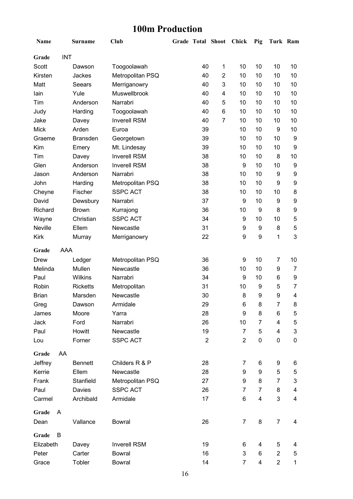### **100m Production**

| Name         |            | <b>Surname</b>  | Club                | Grade Total Shoot |                |                | <b>Chick</b>   | Pig                     | Turk Ram       |                           |
|--------------|------------|-----------------|---------------------|-------------------|----------------|----------------|----------------|-------------------------|----------------|---------------------------|
| Grade        | <b>INT</b> |                 |                     |                   |                |                |                |                         |                |                           |
| Scott        |            | Dawson          | Toogoolawah         |                   | 40             | 1              | 10             | 10                      | 10             | 10                        |
| Kirsten      |            | Jackes          | Metropolitan PSQ    |                   | 40             | $\overline{2}$ | 10             | 10                      | 10             | 10                        |
| Matt         |            | Seears          | Merriganowry        |                   | 40             | 3              | 10             | 10                      | 10             | 10                        |
| lain         |            | Yule            | Muswellbrook        |                   | 40             | 4              | 10             | 10                      | 10             | 10                        |
| Tim          |            | Anderson        | Narrabri            |                   | 40             | 5              | 10             | 10                      | 10             | 10                        |
| Judy         |            | Harding         | Toogoolawah         |                   | 40             | 6              | 10             | 10                      | 10             | 10                        |
| Jake         |            | Davey           | <b>Inverell RSM</b> |                   | 40             | 7              | 10             | 10                      | 10             | 10                        |
| <b>Mick</b>  |            | Arden           | Euroa               |                   | 39             |                | 10             | 10                      | 9              | 10                        |
| Graeme       |            | <b>Bransden</b> | Georgetown          |                   | 39             |                | 10             | 10                      | 10             | 9                         |
| Kim          |            | Emery           | Mt. Lindesay        |                   | 39             |                | 10             | 10                      | 10             | 9                         |
| Tim          |            | Davey           | <b>Inverell RSM</b> |                   | 38             |                | 10             | 10                      | 8              | 10                        |
| Glen         |            | Anderson        | <b>Inverell RSM</b> |                   | 38             |                | 9              | 10                      | 10             | 9                         |
| Jason        |            | Anderson        | Narrabri            |                   | 38             |                | 10             | 10                      | 9              | 9                         |
| John         |            | Harding         | Metropolitan PSQ    |                   | 38             |                | 10             | 10                      | 9              | 9                         |
| Cheyne       |            | Fischer         | <b>SSPC ACT</b>     |                   | 38             |                | 10             | 10                      | 10             | 8                         |
| David        |            | Dewsbury        | Narrabri            |                   | 37             |                | 9              | 10                      | 9              | 9                         |
| Richard      |            | <b>Brown</b>    | Kurrajong           |                   | 36             |                | 10             | $\boldsymbol{9}$        | 8              | 9                         |
| Wayne        |            | Christian       | <b>SSPC ACT</b>     |                   | 34             |                | 9              | 10                      | 10             | 5                         |
| Neville      |            | Ellem           | Newcastle           |                   | 31             |                | 9              | 9                       | 8              | 5                         |
| <b>Kirk</b>  |            | Murray          | Merriganowry        |                   | 22             |                | 9              | 9                       | 1              | 3                         |
| Grade        | <b>AAA</b> |                 |                     |                   |                |                |                |                         |                |                           |
| <b>Drew</b>  |            | Ledger          | Metropolitan PSQ    |                   | 36             |                | 9              | 10                      | 7              | 10                        |
| Melinda      |            | Mullen          | Newcastle           |                   | 36             |                | 10             | 10                      | 9              | 7                         |
| Paul         |            | <b>Wilkins</b>  | Narrabri            |                   | 34             |                | 9              | 10                      | 6              | 9                         |
| Robin        |            | <b>Ricketts</b> | Metropolitan        |                   | 31             |                | 10             | 9                       | 5              | 7                         |
| <b>Brian</b> |            | Marsden         | Newcastle           |                   | 30             |                | 8              | 9                       | 9              | $\overline{\mathbf{4}}$   |
| Greg         |            | Dawson          | Armidale            |                   | 29             |                | 6              | 8                       | 7              | 8                         |
| James        |            | Moore           | Yarra               |                   | 28             |                | 9              | 8                       | 6              | 5                         |
| Jack         |            | Ford            | Narrabri            |                   | 26             |                | 10             | $\overline{7}$          | 4              | 5                         |
| Paul         |            | Howitt          | Newcastle           |                   | 19             |                | $\overline{7}$ | 5                       | 4              | 3                         |
| Lou          |            | Forner          | <b>SSPC ACT</b>     |                   | $\overline{2}$ |                | $\sqrt{2}$     | 0                       | $\pmb{0}$      | 0                         |
| Grade        | AA         |                 |                     |                   |                |                |                |                         |                |                           |
| Jeffrey      |            | <b>Bennett</b>  | Childers R & P      |                   | 28             |                | $\overline{7}$ | 6                       | 9              | 6                         |
| Kerrie       |            | Ellem           | Newcastle           |                   | 28             |                | 9              | 9                       | 5              | 5                         |
| Frank        |            | Stanfield       | Metropolitan PSQ    |                   | 27             |                | 9              | 8                       | 7              | $\ensuremath{\mathsf{3}}$ |
| Paul         |            | Davies          | <b>SSPC ACT</b>     |                   | 26             |                | $\overline{7}$ | $\overline{7}$          | 8              | 4                         |
|              |            |                 | Armidale            |                   |                |                | 6              | $\overline{\mathbf{4}}$ | 3              | 4                         |
| Carmel       |            | Archibald       |                     |                   | 17             |                |                |                         |                |                           |
| Grade        | A          |                 |                     |                   |                |                |                |                         |                |                           |
| Dean         |            | Vallance        | <b>Bowral</b>       |                   | 26             |                | 7              | 8                       | $\overline{7}$ | 4                         |
| Grade        | B          |                 |                     |                   |                |                |                |                         |                |                           |
| Elizabeth    |            | Davey           | <b>Inverell RSM</b> |                   | 19             |                | 6              | 4                       | 5              | 4                         |
| Peter        |            | Carter          | <b>Bowral</b>       |                   | 16             |                | 3              | 6                       | $\overline{2}$ | 5                         |
| Grace        |            | Tobler          | <b>Bowral</b>       |                   | 14             |                | $\overline{7}$ | 4                       | $\overline{2}$ | $\mathbf{1}$              |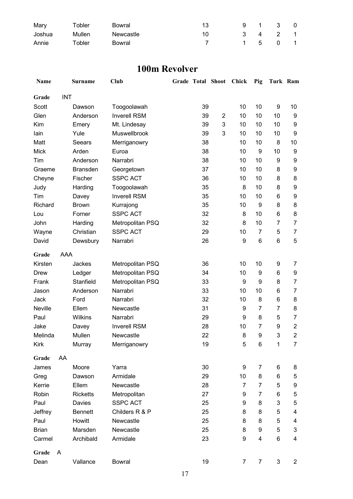| Mary   | Tobler | Bowral    | 13  | 9 1 3 0 |  |
|--------|--------|-----------|-----|---------|--|
| Joshua | Mullen | Newcastle | 10. | 3 4 2 1 |  |
| Annie  | Tobler | Bowral    |     | 1 5 0 1 |  |

#### **100m Revolver**

| Name         |            | <b>Surname</b>  | Club                | Grade Total Shoot |                | <b>Chick</b>   | Pig            | Turk Ram |                         |
|--------------|------------|-----------------|---------------------|-------------------|----------------|----------------|----------------|----------|-------------------------|
| Grade        | <b>INT</b> |                 |                     |                   |                |                |                |          |                         |
| Scott        |            | Dawson          | Toogoolawah         | 39                |                | 10             | 10             | 9        | 10                      |
| Glen         |            | Anderson        | <b>Inverell RSM</b> | 39                | $\overline{2}$ | 10             | 10             | 10       | 9                       |
| Kim          |            | Emery           | Mt. Lindesay        | 39                | 3              | 10             | 10             | 10       | 9                       |
| lain         |            | Yule            | Muswellbrook        | 39                | 3              | 10             | 10             | 10       | 9                       |
| Matt         |            | Seears          | Merriganowry        | 38                |                | 10             | 10             | 8        | 10                      |
| <b>Mick</b>  |            | Arden           | Euroa               | 38                |                | 10             | 9              | 10       | 9                       |
| Tim          |            | Anderson        | Narrabri            | 38                |                | 10             | 10             | 9        | 9                       |
| Graeme       |            | <b>Bransden</b> | Georgetown          | 37                |                | 10             | 10             | 8        | 9                       |
| Cheyne       |            | Fischer         | <b>SSPC ACT</b>     | 36                |                | 10             | 10             | 8        | 8                       |
| Judy         |            | Harding         | Toogoolawah         | 35                |                | 8              | 10             | 8        | 9                       |
| Tim          |            | Davey           | <b>Inverell RSM</b> | 35                |                | 10             | 10             | 6        | 9                       |
| Richard      |            | <b>Brown</b>    | Kurrajong           | 35                |                | 10             | 9              | 8        | 8                       |
| Lou          |            | Forner          | <b>SSPC ACT</b>     | 32                |                | 8              | 10             | 6        | 8                       |
| John         |            | Harding         | Metropolitan PSQ    | 32                |                | 8              | 10             | 7        | $\overline{7}$          |
| Wayne        |            | Christian       | <b>SSPC ACT</b>     | 29                |                | 10             | $\overline{7}$ | 5        | 7                       |
| David        |            | Dewsbury        | Narrabri            | 26                |                | 9              | 6              | 6        | 5                       |
| Grade        | AAA        |                 |                     |                   |                |                |                |          |                         |
| Kirsten      |            | Jackes          | Metropolitan PSQ    | 36                |                | 10             | 10             | 9        | 7                       |
| Drew         |            | Ledger          | Metropolitan PSQ    | 34                |                | 10             | 9              | 6        | 9                       |
| Frank        |            | Stanfield       | Metropolitan PSQ    | 33                |                | 9              | 9              | 8        | $\overline{7}$          |
| Jason        |            | Anderson        | Narrabri            | 33                |                | 10             | 10             | 6        | $\overline{7}$          |
| Jack         |            | Ford            | Narrabri            | 32                |                | 10             | 8              | 6        | 8                       |
| Neville      |            | Ellem           | Newcastle           | 31                |                | 9              | 7              | 7        | 8                       |
| Paul         |            | Wilkins         | Narrabri            | 29                |                | 9              | 8              | 5        | $\overline{7}$          |
| Jake         |            | Davey           | <b>Inverell RSM</b> | 28                |                | 10             | 7              | 9        | $\overline{2}$          |
| Melinda      |            | Mullen          | Newcastle           | 22                |                | 8              | 9              | 3        | $\boldsymbol{2}$        |
| Kirk         |            | Murray          | Merriganowry        | 19                |                | 5              | $\,6$          | 1        | $\overline{7}$          |
| Grade        | AA         |                 |                     |                   |                |                |                |          |                         |
| James        |            | Moore           | Yarra               | 30                |                | 9              | 7              | 6        | 8                       |
| Greg         |            | Dawson          | Armidale            | 29                |                | 10             | 8              | 6        | 5                       |
| Kerrie       |            | Ellem           | Newcastle           | 28                |                | $\overline{7}$ | 7              | 5        | 9                       |
| Robin        |            | <b>Ricketts</b> | Metropolitan        | 27                |                | 9              | 7              | 6        | $\mathbf 5$             |
| Paul         |            | Davies          | <b>SSPC ACT</b>     | 25                |                | 9              | 8              | 3        | $\mathbf 5$             |
| Jeffrey      |            | <b>Bennett</b>  | Childers R & P      | 25                |                | 8              | 8              | 5        | $\overline{\mathbf{4}}$ |
| Paul         |            | Howitt          | Newcastle           | 25                |                | 8              | 8              | 5        | 4                       |
| <b>Brian</b> |            | Marsden         | Newcastle           | 25                |                | 8              | 9              | 5        | 3                       |
| Carmel       |            | Archibald       | Armidale            | 23                |                | 9              | 4              | 6        | 4                       |
| Grade        | A          |                 |                     |                   |                |                |                |          |                         |
| Dean         |            | Vallance        | <b>Bowral</b>       | 19                |                | 7              | $\overline{7}$ | 3        | $\overline{2}$          |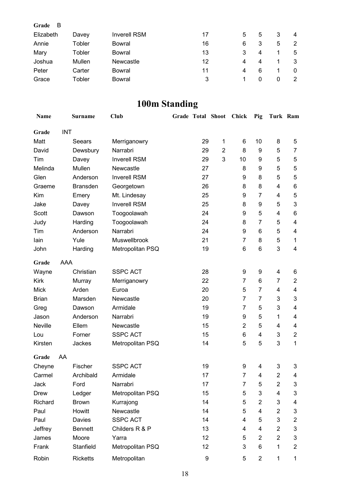| Grade<br>- B |        |                     |    |   |   |   |                |
|--------------|--------|---------------------|----|---|---|---|----------------|
| Elizabeth    | Davey  | <b>Inverell RSM</b> | 17 | 5 | 5 | 3 | $\overline{4}$ |
| Annie        | Tobler | Bowral              | 16 | 6 | 3 | 5 | 2              |
| Mary         | Tobler | Bowral              | 13 | 3 | 4 |   | 5              |
| Joshua       | Mullen | Newcastle           | 12 | 4 | 4 |   | 3              |
| Peter        | Carter | Bowral              | 11 | 4 | 6 |   | 0              |
| Grace        | Tobler | <b>Bowral</b>       | 3  |   | 0 | 0 | 2              |

## **100m Standing**

| Name         |            | <b>Surname</b>  | <b>Club</b>         | Grade Total Shoot |                | Chick          | Pig            | Turk Ram       |                           |
|--------------|------------|-----------------|---------------------|-------------------|----------------|----------------|----------------|----------------|---------------------------|
| Grade        | <b>INT</b> |                 |                     |                   |                |                |                |                |                           |
| Matt         |            | Seears          | Merriganowry        | 29                | 1              | 6              | 10             | 8              | 5                         |
| David        |            | Dewsbury        | Narrabri            | 29                | $\overline{2}$ | 8              | 9              | 5              | $\overline{7}$            |
| Tim          |            | Davey           | <b>Inverell RSM</b> | 29                | 3              | 10             | 9              | 5              | 5                         |
| Melinda      |            | Mullen          | Newcastle           | 27                |                | 8              | 9              | 5              | 5                         |
| Glen         |            | Anderson        | <b>Inverell RSM</b> | 27                |                | 9              | 8              | 5              | 5                         |
| Graeme       |            | <b>Bransden</b> | Georgetown          | 26                |                | 8              | 8              | 4              | 6                         |
| Kim          |            | Emery           | Mt. Lindesay        | 25                |                | 9              | 7              | 4              | 5                         |
| Jake         |            | Davey           | <b>Inverell RSM</b> | 25                |                | 8              | 9              | 5              | $\ensuremath{\mathsf{3}}$ |
| Scott        |            | Dawson          | Toogoolawah         | 24                |                | 9              | 5              | 4              | 6                         |
| Judy         |            | Harding         | Toogoolawah         | 24                |                | 8              | $\overline{7}$ | 5              | 4                         |
| Tim          |            | Anderson        | Narrabri            | 24                |                | 9              | 6              | 5              | 4                         |
| lain         |            | Yule            | Muswellbrook        | 21                |                | $\overline{7}$ | 8              | 5              | $\mathbf 1$               |
| John         |            | Harding         | Metropolitan PSQ    | 19                |                | 6              | 6              | 3              | 4                         |
| Grade        | AAA        |                 |                     |                   |                |                |                |                |                           |
| Wayne        |            | Christian       | <b>SSPC ACT</b>     | 28                |                | 9              | 9              | 4              | 6                         |
| <b>Kirk</b>  |            | Murray          | Merriganowry        | 22                |                | $\overline{7}$ | 6              | 7              | $\overline{2}$            |
| <b>Mick</b>  |            | Arden           | Euroa               | 20                |                | 5              | $\overline{7}$ | 4              | 4                         |
| <b>Brian</b> |            | Marsden         | Newcastle           | 20                |                | $\overline{7}$ | $\overline{7}$ | 3              | 3                         |
| Greg         |            | Dawson          | Armidale            | 19                |                | $\overline{7}$ | 5              | 3              | $\overline{\mathbf{4}}$   |
| Jason        |            | Anderson        | Narrabri            | 19                |                | 9              | 5              | 1              | 4                         |
| Neville      |            | Ellem           | Newcastle           | 15                |                | $\overline{2}$ | 5              | 4              | 4                         |
| Lou          |            | Forner          | <b>SSPC ACT</b>     | 15                |                | 6              | 4              | 3              | $\boldsymbol{2}$          |
| Kirsten      |            | Jackes          | Metropolitan PSQ    | 14                |                | 5              | 5              | 3              | 1                         |
| Grade        | AA         |                 |                     |                   |                |                |                |                |                           |
| Cheyne       |            | Fischer         | <b>SSPC ACT</b>     | 19                |                | 9              | 4              | 3              | 3                         |
| Carmel       |            | Archibald       | Armidale            | 17                |                | $\overline{7}$ | 4              | $\overline{2}$ | 4                         |
| Jack         |            | Ford            | Narrabri            | 17                |                | 7              | 5              | $\overline{c}$ | 3                         |
| <b>Drew</b>  |            | Ledger          | Metropolitan PSQ    | 15                |                | 5              | 3              | 4              | 3                         |
| Richard      |            | <b>Brown</b>    | Kurrajong           | 14                |                | 5              | $\overline{2}$ | 3              | 4                         |
| Paul         |            | Howitt          | Newcastle           | 14                |                | 5              | 4              | $\overline{2}$ | 3                         |
| Paul         |            | Davies          | <b>SSPC ACT</b>     | 14                |                | 4              | 5              | 3              | $\overline{\mathbf{c}}$   |
| Jeffrey      |            | <b>Bennett</b>  | Childers R & P      | 13                |                | 4              | 4              | $\overline{2}$ | $\ensuremath{\mathsf{3}}$ |
| James        |            | Moore           | Yarra               | 12                |                | 5              | $\overline{c}$ | $\overline{2}$ | $\ensuremath{\mathsf{3}}$ |
| Frank        |            | Stanfield       | Metropolitan PSQ    | 12                |                | 3              | 6              | 1              | $\overline{2}$            |
| Robin        |            | <b>Ricketts</b> | Metropolitan        | $\boldsymbol{9}$  |                | 5              | $\overline{c}$ | 1              | $\mathbf 1$               |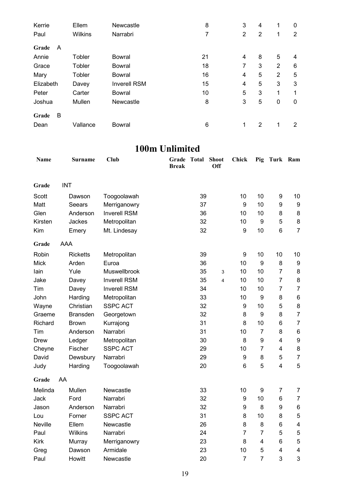| Kerrie     | Ellem          | Newcastle           | 8  | 3                       | 4 | 1              | 0           |
|------------|----------------|---------------------|----|-------------------------|---|----------------|-------------|
| Paul       | <b>Wilkins</b> | Narrabri            | 7  | $\overline{2}$          | 2 | 1              | 2           |
| Grade<br>A |                |                     |    |                         |   |                |             |
| Annie      | Tobler         | <b>Bowral</b>       | 21 | 4                       | 8 | 5              | 4           |
| Grace      | Tobler         | <b>Bowral</b>       | 18 | 7                       | 3 | 2              | 6           |
| Mary       | Tobler         | <b>Bowral</b>       | 16 | 4                       | 5 | $\overline{2}$ | 5           |
| Elizabeth  | Davey          | <b>Inverell RSM</b> | 15 | $\overline{\mathbf{4}}$ | 5 | 3              | 3           |
| Peter      | Carter         | <b>Bowral</b>       | 10 | 5                       | 3 | 1              | 1           |
| Joshua     | Mullen         | Newcastle           | 8  | 3                       | 5 | $\mathbf 0$    | $\mathbf 0$ |
| B<br>Grade |                |                     |    |                         |   |                |             |
| Dean       | Vallance       | Bowral              | 6  | 1                       | 2 | 1              | 2           |

#### **100m Unlimited**

| <b>Name</b> | Surname         | <b>Club</b>         | Grade Total<br><b>Break</b> |    | <b>Shoot</b><br>Off | <b>Chick</b>     | Pig            | Turk Ram                |                         |
|-------------|-----------------|---------------------|-----------------------------|----|---------------------|------------------|----------------|-------------------------|-------------------------|
| Grade       | <b>INT</b>      |                     |                             |    |                     |                  |                |                         |                         |
| Scott       | Dawson          | Toogoolawah         |                             | 39 |                     | 10               | 10             | 9                       | 10                      |
| Matt        | Seears          | Merriganowry        |                             | 37 |                     | $\boldsymbol{9}$ | 10             | $\boldsymbol{9}$        | $\boldsymbol{9}$        |
| Glen        | Anderson        | <b>Inverell RSM</b> |                             | 36 |                     | 10               | 10             | 8                       | 8                       |
| Kirsten     | Jackes          | Metropolitan        |                             | 32 |                     | 10               | 9              | 5                       | 8                       |
| Kim         | Emery           | Mt. Lindesay        |                             | 32 |                     | 9                | 10             | $6\phantom{1}6$         | $\overline{7}$          |
| Grade       | AAA             |                     |                             |    |                     |                  |                |                         |                         |
| Robin       | <b>Ricketts</b> | Metropolitan        |                             | 39 |                     | 9                | 10             | 10                      | 10                      |
| <b>Mick</b> | Arden           | Euroa               |                             | 36 |                     | 10               | 9              | 8                       | 9                       |
| lain        | Yule            | Muswellbrook        |                             | 35 | 3                   | 10               | 10             | $\overline{7}$          | 8                       |
| Jake        | Davey           | <b>Inverell RSM</b> |                             | 35 | $\overline{4}$      | 10               | 10             | $\overline{7}$          | 8                       |
| Tim         | Davey           | <b>Inverell RSM</b> |                             | 34 |                     | 10               | 10             | $\overline{7}$          | $\overline{7}$          |
| John        | Harding         | Metropolitan        |                             | 33 |                     | 10               | 9              | 8                       | 6                       |
| Wayne       | Christian       | <b>SSPC ACT</b>     |                             | 32 |                     | $\boldsymbol{9}$ | 10             | 5                       | 8                       |
| Graeme      | Bransden        | Georgetown          |                             | 32 |                     | 8                | 9              | 8                       | $\overline{7}$          |
| Richard     | <b>Brown</b>    | Kurrajong           |                             | 31 |                     | 8                | 10             | 6                       | $\overline{7}$          |
| Tim         | Anderson        | Narrabri            |                             | 31 |                     | 10               | $\overline{7}$ | 8                       | $\,6$                   |
| Drew        | Ledger          | Metropolitan        |                             | 30 |                     | 8                | 9              | $\overline{\mathbf{4}}$ | $\boldsymbol{9}$        |
| Cheyne      | Fischer         | <b>SSPC ACT</b>     |                             | 29 |                     | 10               | $\overline{7}$ | $\overline{\mathbf{4}}$ | 8                       |
| David       | Dewsbury        | Narrabri            |                             | 29 |                     | $\boldsymbol{9}$ | 8              | 5                       | $\overline{7}$          |
| Judy        | Harding         | Toogoolawah         |                             | 20 |                     | $6\phantom{1}$   | 5              | $\overline{4}$          | 5                       |
| Grade       | AA              |                     |                             |    |                     |                  |                |                         |                         |
| Melinda     | Mullen          | Newcastle           |                             | 33 |                     | 10               | 9              | $\overline{7}$          | $\overline{7}$          |
| Jack        | Ford            | Narrabri            |                             | 32 |                     | $\boldsymbol{9}$ | 10             | 6                       | $\overline{7}$          |
| Jason       | Anderson        | Narrabri            |                             | 32 |                     | 9                | 8              | 9                       | 6                       |
| Lou         | Forner          | <b>SSPC ACT</b>     |                             | 31 |                     | 8                | 10             | 8                       | 5                       |
| Neville     | Ellem           | Newcastle           |                             | 26 |                     | 8                | 8              | 6                       | $\overline{\mathbf{4}}$ |
| Paul        | <b>Wilkins</b>  | Narrabri            |                             | 24 |                     | $\overline{7}$   | $\overline{7}$ | 5                       | 5                       |
| <b>Kirk</b> | Murray          | Merriganowry        |                             | 23 |                     | 8                | 4              | $6\phantom{1}$          | $\mathbf 5$             |
| Greg        | Dawson          | Armidale            |                             | 23 |                     | 10               | 5              | 4                       | $\overline{\mathbf{4}}$ |
| Paul        | Howitt          | Newcastle           |                             | 20 |                     | $\overline{7}$   | $\overline{7}$ | 3                       | 3                       |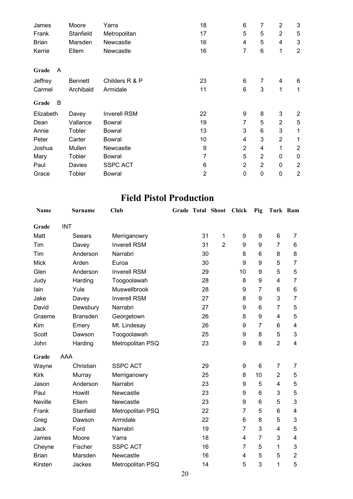| James        | Moore          | Yarra               | 18             | 6              | 7              | $\overline{2}$ | 3              |
|--------------|----------------|---------------------|----------------|----------------|----------------|----------------|----------------|
| Frank        | Stanfield      | Metropolitan        | 17             | 5              | 5              | $\overline{2}$ | 5              |
| <b>Brian</b> | Marsden        | Newcastle           | 16             | 4              | 5              | 4              | 3              |
| Kerrie       | Ellem          | Newcastle           | 16             | 7              | 6              | 1              | $\overline{2}$ |
| Grade<br>A   |                |                     |                |                |                |                |                |
| Jeffrey      | <b>Bennett</b> | Childers R & P      | 23             | 6              | 7              | 4              | 6              |
| Carmel       | Archibald      | Armidale            | 11             | 6              | 3              | 1              | 1              |
| B<br>Grade   |                |                     |                |                |                |                |                |
| Elizabeth    | Davey          | <b>Inverell RSM</b> | 22             | 9              | 8              | 3              | $\overline{2}$ |
| Dean         | Vallance       | <b>Bowral</b>       | 19             | 7              | 5              | $\overline{2}$ | 5              |
| Annie        | Tobler         | <b>Bowral</b>       | 13             | 3              | 6              | 3              | 1              |
| Peter        | Carter         | Bowral              | 10             | 4              | 3              | $\overline{2}$ | 1              |
| Joshua       | Mullen         | Newcastle           | 9              | $\overline{2}$ | 4              | 1              | $\overline{2}$ |
| Mary         | Tobler         | <b>Bowral</b>       | 7              | 5              | $\overline{2}$ | 0              | 0              |
| Paul         | Davies         | <b>SSPC ACT</b>     | 6              | $\overline{2}$ | $\overline{2}$ | $\mathbf 0$    | $\overline{2}$ |
| Grace        | Tobler         | <b>Bowral</b>       | $\overline{2}$ | 0              | 0              | $\mathbf 0$    | $\overline{2}$ |

#### **Field Pistol Production**

| Name         |            | <b>Surname</b>  | <b>Club</b>         | <b>Grade Total Shoot</b> |                | Chick          | Pig              | Turk Ram       |                         |
|--------------|------------|-----------------|---------------------|--------------------------|----------------|----------------|------------------|----------------|-------------------------|
| Grade        | <b>INT</b> |                 |                     |                          |                |                |                  |                |                         |
| Matt         |            | <b>Seears</b>   | Merriganowry        | 31                       | 1              | 9              | $\boldsymbol{9}$ | 6              | 7                       |
| Tim          |            | Davey           | <b>Inverell RSM</b> | 31                       | $\overline{2}$ | 9              | 9                | $\overline{7}$ | 6                       |
| Tim          |            | Anderson        | Narrabri            | 30                       |                | 8              | 6                | 8              | 8                       |
| <b>Mick</b>  |            | Arden           | Euroa               | 30                       |                | 9              | 9                | 5              | $\overline{7}$          |
| Glen         |            | Anderson        | <b>Inverell RSM</b> | 29                       |                | 10             | 9                | 5              | 5                       |
| Judy         |            | Harding         | Toogoolawah         | 28                       |                | 8              | 9                | 4              | 7                       |
| lain         |            | Yule            | Muswellbrook        | 28                       |                | 9              | 7                | 6              | 6                       |
| Jake         |            | Davey           | <b>Inverell RSM</b> | 27                       |                | 8              | 9                | 3              | $\overline{7}$          |
| David        |            | Dewsbury        | Narrabri            | 27                       |                | 9              | 6                | $\overline{7}$ | 5                       |
| Graeme       |            | <b>Bransden</b> | Georgetown          | 26                       |                | 8              | 9                | 4              | 5                       |
| Kim          |            | Emery           | Mt. Lindesay        | 26                       |                | 9              | $\overline{7}$   | 6              | 4                       |
| Scott        |            | Dawson          | Toogoolawah         | 25                       |                | 9              | 8                | 5              | 3                       |
| John         |            | Harding         | Metropolitan PSQ    | 23                       |                | 9              | 8                | $\overline{2}$ | 4                       |
| Grade        | <b>AAA</b> |                 |                     |                          |                |                |                  |                |                         |
| Wayne        |            | Christian       | <b>SSPC ACT</b>     | 29                       |                | 9              | $6\phantom{1}$   | $\overline{7}$ | 7                       |
| <b>Kirk</b>  |            | Murray          | Merriganowry        | 25                       |                | 8              | 10               | $\overline{2}$ | 5                       |
| Jason        |            | Anderson        | Narrabri            | 23                       |                | 9              | 5                | 4              | 5                       |
| Paul         |            | Howitt          | Newcastle           | 23                       |                | 9              | 6                | 3              | 5                       |
| Neville      |            | Ellem           | Newcastle           | 23                       |                | 9              | 6                | 5              | 3                       |
| Frank        |            | Stanfield       | Metropolitan PSQ    | 22                       |                | 7              | 5                | 6              | 4                       |
| Greg         |            | Dawson          | Armidale            | 22                       |                | 6              | 8                | 5              | 3                       |
| Jack         |            | Ford            | Narrabri            | 19                       |                | 7              | 3                | 4              | 5                       |
| James        |            | Moore           | Yarra               | 18                       |                | $\overline{4}$ | $\overline{7}$   | 3              | $\overline{\mathbf{4}}$ |
| Cheyne       |            | Fischer         | <b>SSPC ACT</b>     | 16                       |                | 7              | 5                | 1              | 3                       |
| <b>Brian</b> |            | Marsden         | Newcastle           | 16                       |                | 4              | 5                | 5              | $\overline{2}$          |
| Kirsten      |            | Jackes          | Metropolitan PSQ    | 14                       |                | 5              | 3                | 1              | 5                       |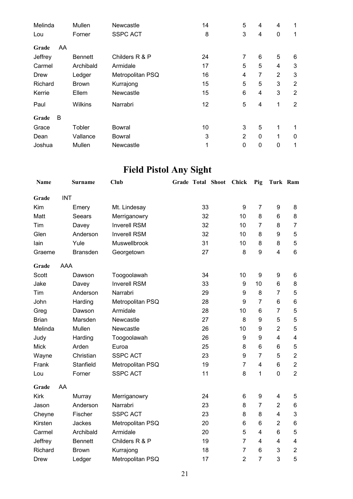| Melinda |    | Mullen         | Newcastle        | 14 | 5                       | 4           | 4              | 1              |
|---------|----|----------------|------------------|----|-------------------------|-------------|----------------|----------------|
| Lou     |    | Forner         | <b>SSPC ACT</b>  | 8  | 3                       | 4           | $\mathbf 0$    | 1              |
| Grade   | AA |                |                  |    |                         |             |                |                |
| Jeffrey |    | <b>Bennett</b> | Childers R & P   | 24 | 7                       | 6           | 5              | 6              |
| Carmel  |    | Archibald      | Armidale         | 17 | 5                       | 5           | 4              | 3              |
| Drew    |    | Ledger         | Metropolitan PSQ | 16 | $\overline{\mathbf{4}}$ | 7           | $\overline{2}$ | 3              |
| Richard |    | <b>Brown</b>   | Kurrajong        | 15 | 5                       | 5           | 3              | $\overline{2}$ |
| Kerrie  |    | Ellem          | Newcastle        | 15 | 6                       | 4           | 3              | 2              |
| Paul    |    | <b>Wilkins</b> | Narrabri         | 12 | 5                       | 4           | 1              | 2              |
| Grade   | B  |                |                  |    |                         |             |                |                |
| Grace   |    | Tobler         | Bowral           | 10 | 3                       | 5           | 1              | 1              |
| Dean    |    | Vallance       | <b>Bowral</b>    | 3  | $\overline{2}$          | $\mathbf 0$ | 1              | 0              |
| Joshua  |    | Mullen         | Newcastle        | 1  | 0                       | $\mathbf 0$ | $\mathbf 0$    | 1              |

# **Field Pistol Any Sight**

| <b>Name</b>  |            | Surname         | <b>Club</b>         | Grade Total Shoot | Chick          | Pig            | Turk Ram       |                         |
|--------------|------------|-----------------|---------------------|-------------------|----------------|----------------|----------------|-------------------------|
| Grade        | <b>INT</b> |                 |                     |                   |                |                |                |                         |
| Kim          |            | Emery           | Mt. Lindesay        | 33                | 9              | $\overline{7}$ | 9              | 8                       |
| Matt         |            | <b>Seears</b>   | Merriganowry        | 32                | 10             | 8              | 6              | 8                       |
| Tim          |            | Davey           | <b>Inverell RSM</b> | 32                | 10             | $\overline{7}$ | 8              | $\overline{7}$          |
| Glen         |            | Anderson        | <b>Inverell RSM</b> | 32                | 10             | 8              | 9              | 5                       |
| lain         |            | Yule            | Muswellbrook        | 31                | 10             | 8              | 8              | 5                       |
| Graeme       |            | <b>Bransden</b> | Georgetown          | 27                | 8              | 9              | $\overline{4}$ | $6\phantom{1}$          |
| Grade        | AAA        |                 |                     |                   |                |                |                |                         |
| Scott        |            | Dawson          | Toogoolawah         | 34                | 10             | 9              | 9              | 6                       |
| Jake         |            | Davey           | <b>Inverell RSM</b> | 33                | 9              | 10             | 6              | 8                       |
| Tim          |            | Anderson        | Narrabri            | 29                | 9              | 8              | $\overline{7}$ | 5                       |
| John         |            | Harding         | Metropolitan PSQ    | 28                | 9              | $\overline{7}$ | 6              | 6                       |
| Greg         |            | Dawson          | Armidale            | 28                | 10             | 6              | $\overline{7}$ | 5                       |
| <b>Brian</b> |            | Marsden         | Newcastle           | 27                | 8              | 9              | 5              | 5                       |
| Melinda      |            | Mullen          | Newcastle           | 26                | 10             | 9              | $\overline{2}$ | 5                       |
| Judy         |            | Harding         | Toogoolawah         | 26                | 9              | 9              | $\overline{4}$ | $\overline{\mathbf{4}}$ |
| <b>Mick</b>  |            | Arden           | Euroa               | 25                | 8              | 6              | 6              | 5                       |
| Wayne        |            | Christian       | <b>SSPC ACT</b>     | 23                | 9              | $\overline{7}$ | 5              | $\overline{2}$          |
| Frank        |            | Stanfield       | Metropolitan PSQ    | 19                | $\overline{7}$ | $\overline{4}$ | 6              | $\overline{2}$          |
| Lou          |            | Forner          | <b>SSPC ACT</b>     | 11                | 8              | 1              | 0              | $\overline{2}$          |
| Grade        | AA         |                 |                     |                   |                |                |                |                         |
| <b>Kirk</b>  |            | Murray          | Merriganowry        | 24                | 6              | 9              | 4              | 5                       |
| Jason        |            | Anderson        | Narrabri            | 23                | 8              | $\overline{7}$ | $\overline{2}$ | 6                       |
| Cheyne       |            | Fischer         | <b>SSPC ACT</b>     | 23                | 8              | 8              | $\overline{4}$ | 3                       |
| Kirsten      |            | Jackes          | Metropolitan PSQ    | 20                | 6              | 6              | $\overline{2}$ | 6                       |
| Carmel       |            | Archibald       | Armidale            | 20                | 5              | $\overline{4}$ | 6              | 5                       |
| Jeffrey      |            | <b>Bennett</b>  | Childers R & P      | 19                | $\overline{7}$ | 4              | $\overline{4}$ | $\overline{\mathbf{4}}$ |
| Richard      |            | <b>Brown</b>    | Kurrajong           | 18                | $\overline{7}$ | 6              | 3              | $\overline{2}$          |
| Drew         |            | Ledger          | Metropolitan PSQ    | 17                | $\overline{2}$ | $\overline{7}$ | 3              | 5                       |